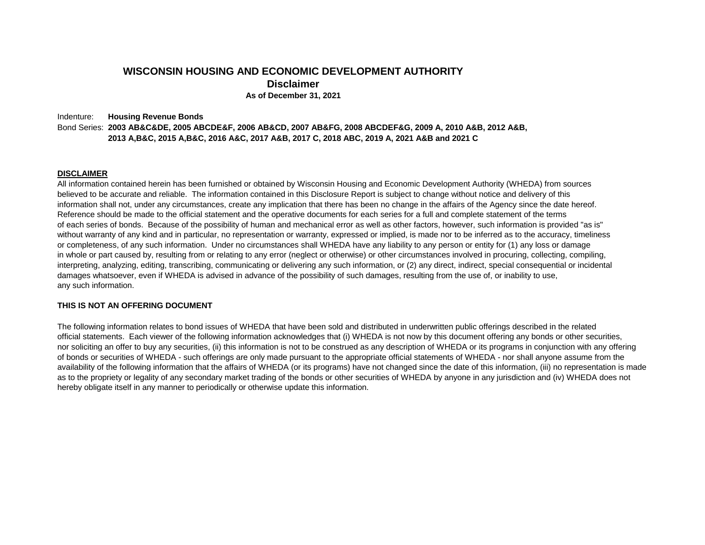### **WISCONSIN HOUSING AND ECONOMIC DEVELOPMENT AUTHORITY Disclaimer As of December 31, 2021**

Indenture: **Housing Revenue Bonds** Bond Series: **2003 AB&C&DE, 2005 ABCDE&F, 2006 AB&CD, 2007 AB&FG, 2008 ABCDEF&G, 2009 A, 2010 A&B, 2012 A&B, 2013 A,B&C, 2015 A,B&C, 2016 A&C, 2017 A&B, 2017 C, 2018 ABC, 2019 A, 2021 A&B and 2021 C** 

#### **DISCLAIMER**

All information contained herein has been furnished or obtained by Wisconsin Housing and Economic Development Authority (WHEDA) from sources believed to be accurate and reliable. The information contained in this Disclosure Report is subject to change without notice and delivery of this information shall not, under any circumstances, create any implication that there has been no change in the affairs of the Agency since the date hereof. Reference should be made to the official statement and the operative documents for each series for a full and complete statement of the terms of each series of bonds. Because of the possibility of human and mechanical error as well as other factors, however, such information is provided "as is" without warranty of any kind and in particular, no representation or warranty, expressed or implied, is made nor to be inferred as to the accuracy, timeliness or completeness, of any such information. Under no circumstances shall WHEDA have any liability to any person or entity for (1) any loss or damage in whole or part caused by, resulting from or relating to any error (neglect or otherwise) or other circumstances involved in procuring, collecting, compiling, interpreting, analyzing, editing, transcribing, communicating or delivering any such information, or (2) any direct, indirect, special consequential or incidental damages whatsoever, even if WHEDA is advised in advance of the possibility of such damages, resulting from the use of, or inability to use, any such information.

#### **THIS IS NOT AN OFFERING DOCUMENT**

The following information relates to bond issues of WHEDA that have been sold and distributed in underwritten public offerings described in the related official statements. Each viewer of the following information acknowledges that (i) WHEDA is not now by this document offering any bonds or other securities, nor soliciting an offer to buy any securities, (ii) this information is not to be construed as any description of WHEDA or its programs in conjunction with any offering of bonds or securities of WHEDA - such offerings are only made pursuant to the appropriate official statements of WHEDA - nor shall anyone assume from the availability of the following information that the affairs of WHEDA (or its programs) have not changed since the date of this information, (iii) no representation is made as to the propriety or legality of any secondary market trading of the bonds or other securities of WHEDA by anyone in any jurisdiction and (iv) WHEDA does not hereby obligate itself in any manner to periodically or otherwise update this information.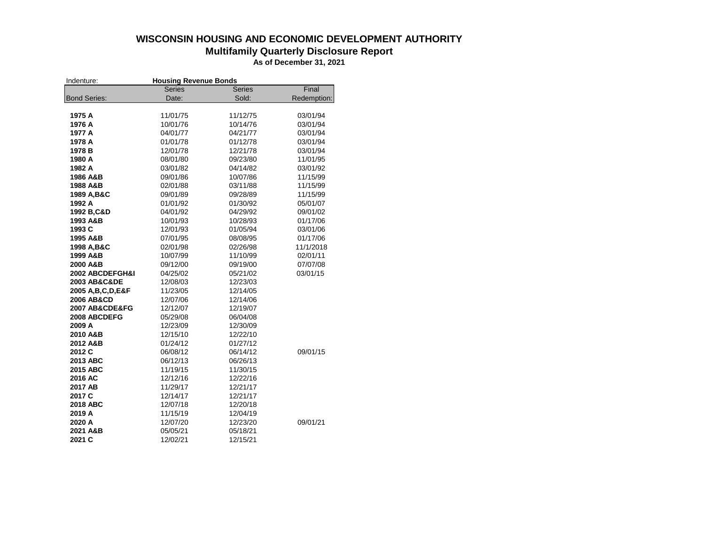## **WISCONSIN HOUSING AND ECONOMIC DEVELOPMENT AUTHORITY**

### **Multifamily Quarterly Disclosure Report**

**As of December 31, 2021**

| Indenture:            | <b>Housing Revenue Bonds</b> |               |             |  |  |  |  |  |
|-----------------------|------------------------------|---------------|-------------|--|--|--|--|--|
|                       | <b>Series</b>                | <b>Series</b> | Final       |  |  |  |  |  |
| <b>Bond Series:</b>   | Date:                        | Sold:         | Redemption: |  |  |  |  |  |
|                       |                              |               |             |  |  |  |  |  |
| 1975 A                | 11/01/75                     | 11/12/75      | 03/01/94    |  |  |  |  |  |
| 1976 A                | 10/01/76                     | 10/14/76      | 03/01/94    |  |  |  |  |  |
| 1977 A                | 04/01/77                     | 04/21/77      | 03/01/94    |  |  |  |  |  |
| 1978 A                | 01/01/78                     | 01/12/78      | 03/01/94    |  |  |  |  |  |
| 1978 B                | 12/01/78                     | 12/21/78      | 03/01/94    |  |  |  |  |  |
| 1980 A                | 08/01/80                     | 09/23/80      | 11/01/95    |  |  |  |  |  |
| 1982 A                | 03/01/82                     | 04/14/82      | 03/01/92    |  |  |  |  |  |
| 1986 A&B              | 09/01/86                     | 10/07/86      | 11/15/99    |  |  |  |  |  |
| 1988 A&B              | 02/01/88                     | 03/11/88      | 11/15/99    |  |  |  |  |  |
| 1989 A, B&C           | 09/01/89                     | 09/28/89      | 11/15/99    |  |  |  |  |  |
| 1992 A                | 01/01/92                     | 01/30/92      | 05/01/07    |  |  |  |  |  |
| 1992 B, C&D           | 04/01/92                     | 04/29/92      | 09/01/02    |  |  |  |  |  |
| 1993 A&B              | 10/01/93                     | 10/28/93      | 01/17/06    |  |  |  |  |  |
| 1993 C                | 12/01/93                     | 01/05/94      | 03/01/06    |  |  |  |  |  |
| 1995 A&B              | 07/01/95                     | 08/08/95      | 01/17/06    |  |  |  |  |  |
| 1998 A, B&C           | 02/01/98                     | 02/26/98      | 11/1/2018   |  |  |  |  |  |
| 1999 A&B              | 10/07/99                     | 11/10/99      | 02/01/11    |  |  |  |  |  |
| 2000 A&B              | 09/12/00                     | 09/19/00      | 07/07/08    |  |  |  |  |  |
| 2002 ABCDEFGH&I       | 04/25/02                     | 05/21/02      | 03/01/15    |  |  |  |  |  |
| 2003 AB&C&DE          | 12/08/03                     | 12/23/03      |             |  |  |  |  |  |
| 2005 A, B, C, D, E&F  | 11/23/05                     | 12/14/05      |             |  |  |  |  |  |
| <b>2006 AB&amp;CD</b> | 12/07/06                     | 12/14/06      |             |  |  |  |  |  |
| 2007 AB&CDE&FG        | 12/12/07                     | 12/19/07      |             |  |  |  |  |  |
| 2008 ABCDEFG          | 05/29/08                     | 06/04/08      |             |  |  |  |  |  |
| 2009 A                | 12/23/09                     | 12/30/09      |             |  |  |  |  |  |
| 2010 A&B              | 12/15/10                     | 12/22/10      |             |  |  |  |  |  |
| 2012 A&B              | 01/24/12                     | 01/27/12      |             |  |  |  |  |  |
| 2012 C                | 06/08/12                     | 06/14/12      | 09/01/15    |  |  |  |  |  |
| 2013 ABC              | 06/12/13                     | 06/26/13      |             |  |  |  |  |  |
| 2015 ABC              | 11/19/15                     | 11/30/15      |             |  |  |  |  |  |
| 2016 AC               | 12/12/16                     | 12/22/16      |             |  |  |  |  |  |
| 2017 AB               | 11/29/17                     | 12/21/17      |             |  |  |  |  |  |
| 2017 C                | 12/14/17                     | 12/21/17      |             |  |  |  |  |  |
| 2018 ABC              | 12/07/18                     | 12/20/18      |             |  |  |  |  |  |
| 2019 A                | 11/15/19                     | 12/04/19      |             |  |  |  |  |  |
| 2020 A                | 12/07/20                     | 12/23/20      | 09/01/21    |  |  |  |  |  |
| 2021 A&B              | 05/05/21                     | 05/18/21      |             |  |  |  |  |  |
| 2021 C                | 12/02/21                     | 12/15/21      |             |  |  |  |  |  |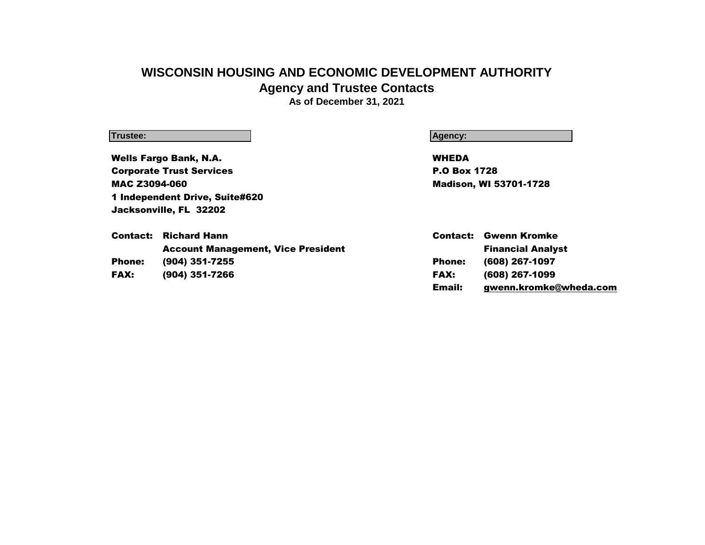# **WISCONSIN HOUSING AND ECONOMIC DEVELOPMENT AUTHORITY Agency and Trustee Contacts**

**As of December 31, 2021**

### **Trustee: Agency:**

Wells Fargo Bank, N.A. WHEDA **Corporate Trust Services P.O Box 1728** MAC Z3094-060 Madison, WI 53701-1728 1 Independent Drive, Suite#620 Jacksonville, FL 32202

|               | <b>Contact:</b> Richard Hann              | Contact:      | Gwenn Kromke             |
|---------------|-------------------------------------------|---------------|--------------------------|
|               | <b>Account Management, Vice President</b> |               | <b>Financial Analyst</b> |
| <b>Phone:</b> | (904) 351-7255                            | <b>Phone:</b> | (608) 267-1097           |
| <b>FAX:</b>   | (904) 351-7266                            | <b>FAX:</b>   | (608) 267-1099           |
|               |                                           | Email:        | gwenn.kromke@wheda.com   |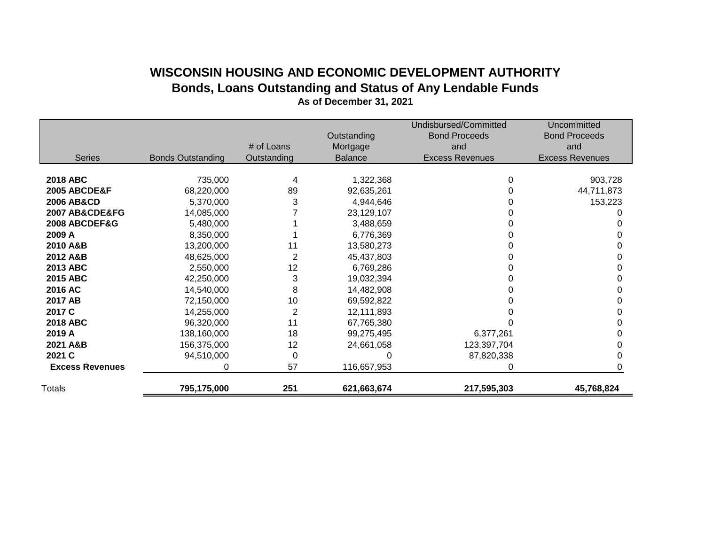# **WISCONSIN HOUSING AND ECONOMIC DEVELOPMENT AUTHORITY Bonds, Loans Outstanding and Status of Any Lendable Funds**

|                         |                          |                | Outstanding    | Undisbursed/Committed<br><b>Bond Proceeds</b> | Uncommitted<br><b>Bond Proceeds</b> |
|-------------------------|--------------------------|----------------|----------------|-----------------------------------------------|-------------------------------------|
|                         |                          | # of Loans     | Mortgage       | and                                           | and                                 |
| <b>Series</b>           | <b>Bonds Outstanding</b> | Outstanding    | <b>Balance</b> | <b>Excess Revenues</b>                        | <b>Excess Revenues</b>              |
|                         |                          |                |                |                                               |                                     |
| <b>2018 ABC</b>         | 735,000                  | 4              | 1,322,368      | 0                                             | 903,728                             |
| <b>2005 ABCDE&amp;F</b> | 68,220,000               | 89             | 92,635,261     |                                               | 44,711,873                          |
| <b>2006 AB&amp;CD</b>   | 5,370,000                | 3              | 4,944,646      |                                               | 153,223                             |
| 2007 AB&CDE&FG          | 14,085,000               |                | 23,129,107     |                                               |                                     |
| 2008 ABCDEF&G           | 5,480,000                |                | 3,488,659      |                                               |                                     |
| 2009 A                  | 8,350,000                |                | 6,776,369      |                                               |                                     |
| 2010 A&B                | 13,200,000               | 11             | 13,580,273     |                                               |                                     |
| 2012 A&B                | 48,625,000               | 2              | 45,437,803     |                                               |                                     |
| 2013 ABC                | 2,550,000                | 12             | 6,769,286      |                                               |                                     |
| 2015 ABC                | 42,250,000               | 3              | 19,032,394     |                                               |                                     |
| 2016 AC                 | 14,540,000               | 8              | 14,482,908     |                                               |                                     |
| 2017 AB                 | 72,150,000               | 10             | 69,592,822     |                                               |                                     |
| 2017 C                  | 14,255,000               | $\overline{c}$ | 12,111,893     |                                               |                                     |
| <b>2018 ABC</b>         | 96,320,000               | 11             | 67,765,380     |                                               |                                     |
| 2019 A                  | 138,160,000              | 18             | 99,275,495     | 6,377,261                                     |                                     |
| 2021 A&B                | 156,375,000              | 12             | 24,661,058     | 123,397,704                                   |                                     |
| 2021 C                  | 94,510,000               | 0              |                | 87,820,338                                    |                                     |
| <b>Excess Revenues</b>  | 0                        | 57             | 116,657,953    | ŋ                                             |                                     |
| <b>Totals</b>           | 795,175,000              | 251            | 621,663,674    | 217,595,303                                   | 45,768,824                          |

**As of December 31, 2021**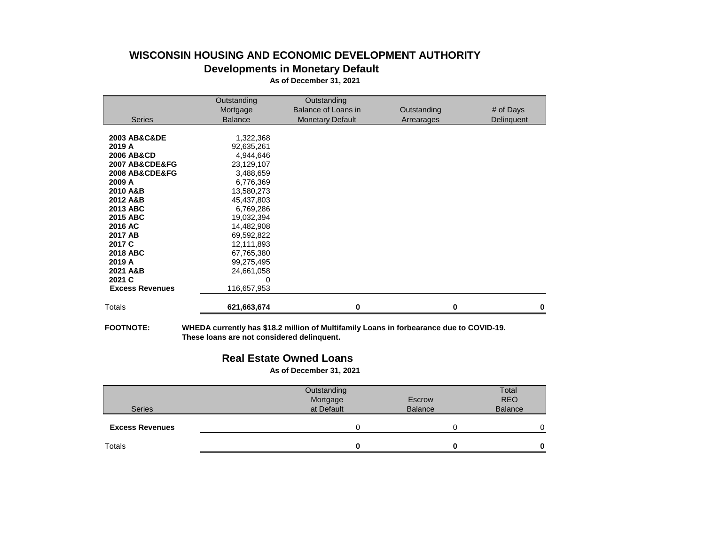# **WISCONSIN HOUSING AND ECONOMIC DEVELOPMENT AUTHORITY Developments in Monetary Default**

**As of December 31, 2021**

|                             | Outstanding    | Outstanding             |             |            |
|-----------------------------|----------------|-------------------------|-------------|------------|
|                             | Mortgage       | Balance of Loans in     | Outstanding | # of Days  |
| <b>Series</b>               | <b>Balance</b> | <b>Monetary Default</b> | Arrearages  | Delinquent |
|                             |                |                         |             |            |
| <b>2003 AB&amp;C&amp;DE</b> | 1,322,368      |                         |             |            |
| 2019 A                      | 92,635,261     |                         |             |            |
| <b>2006 AB&amp;CD</b>       | 4,944,646      |                         |             |            |
| 2007 AB&CDE&FG              | 23,129,107     |                         |             |            |
| 2008 AB&CDE&FG              | 3,488,659      |                         |             |            |
| 2009 A                      | 6,776,369      |                         |             |            |
| 2010 A&B                    | 13,580,273     |                         |             |            |
| 2012 A&B                    | 45,437,803     |                         |             |            |
| 2013 ABC                    | 6,769,286      |                         |             |            |
| <b>2015 ABC</b>             | 19,032,394     |                         |             |            |
| 2016 AC                     | 14,482,908     |                         |             |            |
| 2017 AB                     | 69,592,822     |                         |             |            |
| 2017 C                      | 12,111,893     |                         |             |            |
| <b>2018 ABC</b>             | 67,765,380     |                         |             |            |
| 2019 A                      | 99,275,495     |                         |             |            |
| 2021 A&B                    | 24,661,058     |                         |             |            |
| 2021 C                      | 0              |                         |             |            |
| <b>Excess Revenues</b>      | 116,657,953    |                         |             |            |
| Totals                      | 621,663,674    | Λ                       | Λ           |            |
|                             |                |                         |             |            |

**FOOTNOTE: WHEDA currently has \$18.2 million of Multifamily Loans in forbearance due to COVID-19. These loans are not considered delinquent.**

### **Real Estate Owned Loans**

**As of December 31, 2021**

| <b>Series</b>          | Outstanding<br>Mortgage<br>at Default | Escrow<br><b>Balance</b> | Total<br><b>REO</b><br><b>Balance</b> |
|------------------------|---------------------------------------|--------------------------|---------------------------------------|
| <b>Excess Revenues</b> |                                       |                          | 0                                     |
| Totals                 |                                       |                          | 0                                     |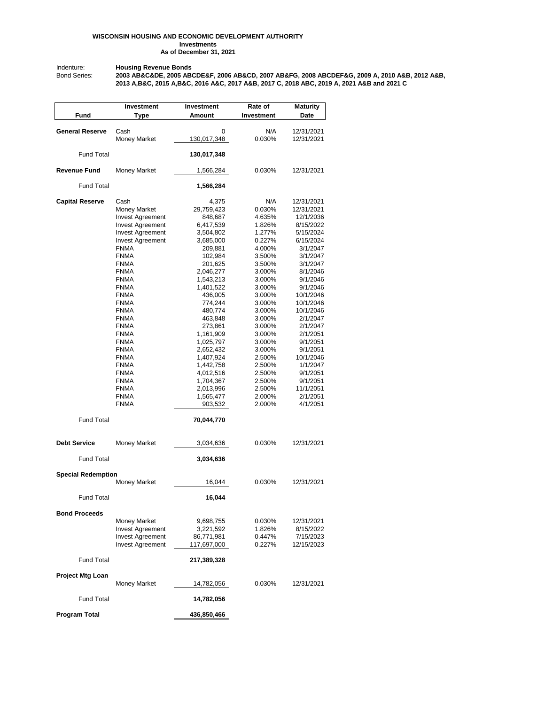#### **WISCONSIN HOUSING AND ECONOMIC DEVELOPMENT AUTHORITY Investments As of December 31, 2021**

Indenture: **Housing Revenue Bonds**

Bond Series: **2003 AB&C&DE, 2005 ABCDE&F, 2006 AB&CD, 2007 AB&FG, 2008 ABCDEF&G, 2009 A, 2010 A&B, 2012 A&B, 2013 A,B&C, 2015 A,B&C, 2016 A&C, 2017 A&B, 2017 C, 2018 ABC, 2019 A, 2021 A&B and 2021 C** 

|                           | Investment                  | Investment         | Rate of          | <b>Maturity</b>          |
|---------------------------|-----------------------------|--------------------|------------------|--------------------------|
| Fund                      | Type                        | Amount             | Investment       | Date                     |
|                           |                             |                    |                  |                          |
| <b>General Reserve</b>    | Cash<br><b>Money Market</b> | 0<br>130,017,348   | N/A<br>0.030%    | 12/31/2021<br>12/31/2021 |
|                           |                             |                    |                  |                          |
| <b>Fund Total</b>         |                             | 130,017,348        |                  |                          |
| <b>Revenue Fund</b>       | <b>Money Market</b>         | 1,566,284          | 0.030%           | 12/31/2021               |
| <b>Fund Total</b>         |                             | 1,566,284          |                  |                          |
| <b>Capital Reserve</b>    | Cash                        | 4,375              | N/A              | 12/31/2021               |
|                           | <b>Money Market</b>         | 29,759,423         | 0.030%           | 12/31/2021               |
|                           | <b>Invest Agreement</b>     | 848,687            | 4.635%           | 12/1/2036                |
|                           | <b>Invest Agreement</b>     | 6,417,539          | 1.826%           | 8/15/2022                |
|                           | <b>Invest Agreement</b>     | 3,504,802          | 1.277%           | 5/15/2024                |
|                           | <b>Invest Agreement</b>     | 3,685,000          | 0.227%           | 6/15/2024                |
|                           | <b>FNMA</b>                 | 209,881            | 4.000%           | 3/1/2047                 |
|                           | <b>FNMA</b>                 | 102,984            | 3.500%           | 3/1/2047                 |
|                           | <b>FNMA</b>                 | 201,625            | 3.500%           | 3/1/2047                 |
|                           | <b>FNMA</b>                 | 2,046,277          | 3.000%           | 8/1/2046                 |
|                           | <b>FNMA</b>                 | 1,543,213          | 3.000%           | 9/1/2046                 |
|                           | <b>FNMA</b>                 | 1,401,522          | 3.000%           | 9/1/2046                 |
|                           | <b>FNMA</b>                 | 436,005            | 3.000%           | 10/1/2046                |
|                           | <b>FNMA</b>                 | 774,244            | 3.000%           | 10/1/2046                |
|                           | <b>FNMA</b>                 | 480,774            | 3.000%<br>3.000% | 10/1/2046<br>2/1/2047    |
|                           | <b>FNMA</b><br><b>FNMA</b>  | 463,848<br>273,861 | 3.000%           | 2/1/2047                 |
|                           | <b>FNMA</b>                 | 1,161,909          | 3.000%           | 2/1/2051                 |
|                           | <b>FNMA</b>                 | 1,025,797          | 3.000%           | 9/1/2051                 |
|                           | <b>FNMA</b>                 | 2,652,432          | 3.000%           | 9/1/2051                 |
|                           | <b>FNMA</b>                 | 1,407,924          | 2.500%           | 10/1/2046                |
|                           | <b>FNMA</b>                 | 1,442,758          | 2.500%           | 1/1/2047                 |
|                           | <b>FNMA</b>                 | 4,012,516          | 2.500%           | 9/1/2051                 |
|                           | <b>FNMA</b>                 | 1,704,367          | 2.500%           | 9/1/2051                 |
|                           | <b>FNMA</b>                 | 2,013,996          | 2.500%           | 11/1/2051                |
|                           | <b>FNMA</b>                 | 1,565,477          | 2.000%           | 2/1/2051                 |
|                           | <b>FNMA</b>                 | 903,532            | 2.000%           | 4/1/2051                 |
| <b>Fund Total</b>         |                             | 70,044,770         |                  |                          |
| <b>Debt Service</b>       | <b>Money Market</b>         | 3,034,636          | 0.030%           | 12/31/2021               |
| <b>Fund Total</b>         |                             | 3,034,636          |                  |                          |
|                           |                             |                    |                  |                          |
| <b>Special Redemption</b> | <b>Money Market</b>         | 16,044             | 0.030%           | 12/31/2021               |
| <b>Fund Total</b>         |                             | 16,044             |                  |                          |
| <b>Bond Proceeds</b>      |                             |                    |                  |                          |
|                           | <b>Money Market</b>         | 9,698,755          | 0.030%           | 12/31/2021               |
|                           | <b>Invest Agreement</b>     | 3,221,592          | 1.826%           | 8/15/2022                |
|                           | <b>Invest Agreement</b>     | 86,771,981         | 0.447%           | 7/15/2023                |
|                           | <b>Invest Agreement</b>     | 117,697,000        | 0.227%           | 12/15/2023               |
| <b>Fund Total</b>         |                             | 217,389,328        |                  |                          |
| Project Mtg Loan          |                             |                    |                  |                          |
|                           | <b>Money Market</b>         | 14,782,056         | 0.030%           | 12/31/2021               |
| <b>Fund Total</b>         |                             | 14,782,056         |                  |                          |
| <b>Program Total</b>      |                             | 436,850,466        |                  |                          |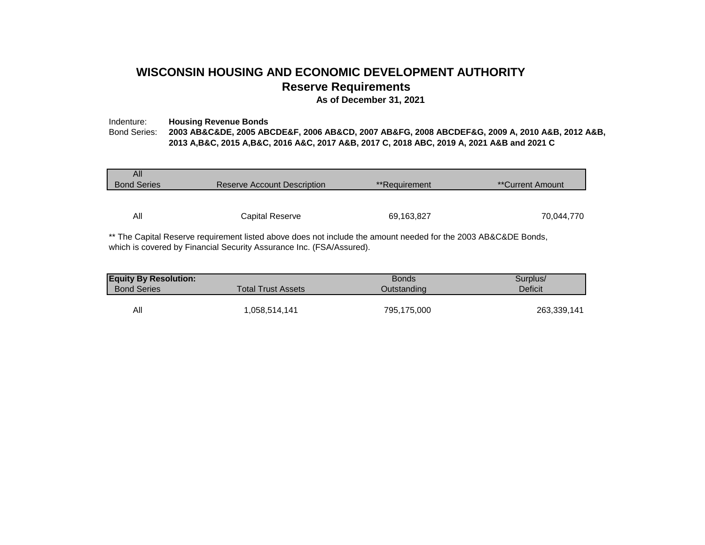# **WISCONSIN HOUSING AND ECONOMIC DEVELOPMENT AUTHORITY Reserve Requirements**

**As of December 31, 2021**

### Indenture: **Housing Revenue Bonds** Bond Series: **2003 AB&C&DE, 2005 ABCDE&F, 2006 AB&CD, 2007 AB&FG, 2008 ABCDEF&G, 2009 A, 2010 A&B, 2012 A&B, 2013 A,B&C, 2015 A,B&C, 2016 A&C, 2017 A&B, 2017 C, 2018 ABC, 2019 A, 2021 A&B and 2021 C**

| All<br><b>Bond Series</b> | Reserve Account Description | **Requirement | **Current Amount |
|---------------------------|-----------------------------|---------------|------------------|
| All                       |                             |               | 70,044,770       |
|                           | Capital Reserve             | 69,163,827    |                  |

\*\* The Capital Reserve requirement listed above does not include the amount needed for the 2003 AB&C&DE Bonds, which is covered by Financial Security Assurance Inc. (FSA/Assured).

| <b>Equity By Resolution:</b> |                           | <b>Bonds</b> | Surplus/    |  |  |
|------------------------------|---------------------------|--------------|-------------|--|--|
| <b>Bond Series</b>           | <b>Total Trust Assets</b> | Outstanding  | Deficit     |  |  |
|                              |                           |              |             |  |  |
| All                          | 058,514,141.              | 795,175,000  | 263,339,141 |  |  |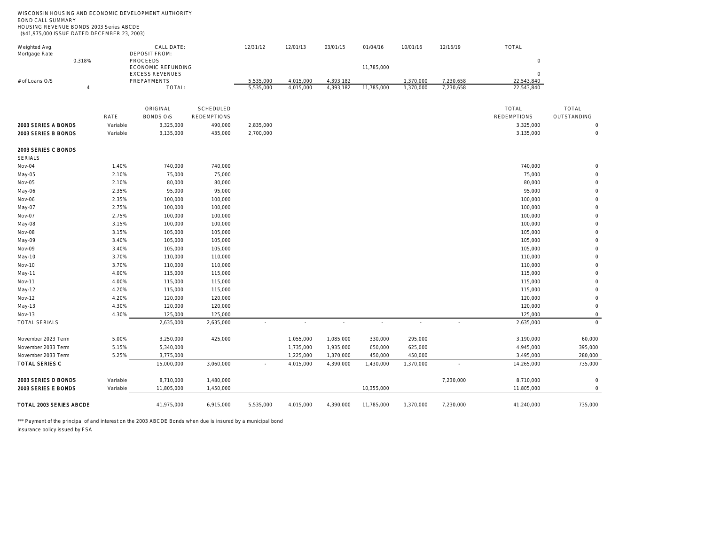| WISCONSIN HOUSING AND ECONOMIC DEVELOPMENT AUTHORITY<br><b>BOND CALL SUMMARY</b><br>HOUSING REVENUE BONDS 2003 Series ABCDE |                                |                                    |                    |                        |                        |                        |            |                        |                          |                          |                |
|-----------------------------------------------------------------------------------------------------------------------------|--------------------------------|------------------------------------|--------------------|------------------------|------------------------|------------------------|------------|------------------------|--------------------------|--------------------------|----------------|
| (\$41,975,000 ISSUE DATED DECEMBER 23, 2003)                                                                                |                                |                                    |                    |                        |                        |                        |            |                        |                          |                          |                |
| Weighted Avg.<br>Mortgage Rate                                                                                              |                                | CALL DATE:<br><b>DEPOSIT FROM:</b> |                    | 12/31/12               | 12/01/13               | 03/01/15               | 01/04/16   | 10/01/16               | 12/16/19                 | TOTAL                    |                |
| 0.318%                                                                                                                      | PROCEEDS<br>ECONOMIC REFUNDING |                                    |                    |                        |                        |                        | 11,785,000 |                        |                          | $\circ$                  |                |
|                                                                                                                             |                                | <b>EXCESS REVENUES</b>             |                    |                        |                        |                        |            |                        |                          | $\circ$                  |                |
| # of Loans O/S<br>$\overline{4}$                                                                                            |                                | PREPAYMENTS<br>TOTAL:              |                    | 5,535,000<br>5,535,000 | 4,015,000<br>4,015,000 | 4,393,182<br>4,393,182 | 11,785,000 | 1,370,000<br>1,370,000 | 7,230,658<br>7,230,658   | 22,543,840<br>22,543,840 |                |
|                                                                                                                             |                                | ORIGINAL                           | SCHEDULED          |                        |                        |                        |            |                        |                          | TOTAL                    | TOTAL          |
|                                                                                                                             | RATE                           | <b>BONDS OIS</b>                   | <b>REDEMPTIONS</b> |                        |                        |                        |            |                        |                          | <b>REDEMPTIONS</b>       | OUTSTANDING    |
| 2003 SERIES A BONDS                                                                                                         | Variable                       | 3,325,000                          | 490,000            | 2,835,000              |                        |                        |            |                        |                          | 3,325,000                | $\bigcirc$     |
| 2003 SERIES B BONDS                                                                                                         | Variable                       | 3,135,000                          | 435,000            | 2,700,000              |                        |                        |            |                        |                          | 3,135,000                |                |
| 2003 SERIES C BONDS<br><b>SERIALS</b>                                                                                       |                                |                                    |                    |                        |                        |                        |            |                        |                          |                          |                |
| Nov-04                                                                                                                      | 1.40%                          | 740,000                            | 740,000            |                        |                        |                        |            |                        |                          | 740,000                  |                |
| May-05                                                                                                                      | 2.10%                          | 75,000                             | 75,000             |                        |                        |                        |            |                        |                          | 75,000                   |                |
| Nov-05                                                                                                                      | 2.10%                          | 80,000                             | 80,000             |                        |                        |                        |            |                        |                          | 80,000                   |                |
| May-06                                                                                                                      | 2.35%                          | 95,000                             | 95,000             |                        |                        |                        |            |                        |                          | 95,000                   |                |
| Nov-06                                                                                                                      | 2.35%                          | 100,000                            | 100,000            |                        |                        |                        |            |                        |                          | 100,000                  |                |
| May-07                                                                                                                      | 2.75%                          | 100,000                            | 100,000            |                        |                        |                        |            |                        |                          | 100,000                  |                |
| Nov-07                                                                                                                      | 2.75%                          | 100,000                            | 100,000            |                        |                        |                        |            |                        |                          | 100,000                  |                |
| May-08                                                                                                                      | 3.15%                          | 100,000                            | 100,000            |                        |                        |                        |            |                        |                          | 100,000                  |                |
| Nov-08                                                                                                                      | 3.15%                          | 105,000                            | 105,000            |                        |                        |                        |            |                        |                          | 105,000                  |                |
| May-09                                                                                                                      | 3.40%                          | 105,000                            | 105,000            |                        |                        |                        |            |                        |                          | 105,000                  |                |
| Nov-09                                                                                                                      | 3.40%                          | 105,000                            | 105,000            |                        |                        |                        |            |                        |                          | 105,000                  |                |
| May-10                                                                                                                      | 3.70%                          | 110,000                            | 110,000            |                        |                        |                        |            |                        |                          | 110,000                  |                |
| Nov-10                                                                                                                      | 3.70%                          | 110,000                            | 110,000            |                        |                        |                        |            |                        |                          | 110,000                  |                |
| May-11                                                                                                                      | 4.00%                          | 115,000                            | 115,000            |                        |                        |                        |            |                        |                          | 115,000                  |                |
| Nov-11                                                                                                                      | 4.00%                          | 115,000                            | 115,000            |                        |                        |                        |            |                        |                          | 115,000                  |                |
| May-12                                                                                                                      | 4.20%                          | 115,000                            | 115,000            |                        |                        |                        |            |                        |                          | 115,000                  |                |
| Nov-12                                                                                                                      | 4.20%                          | 120,000                            | 120,000            |                        |                        |                        |            |                        |                          | 120,000                  |                |
| May-13                                                                                                                      | 4.30%                          | 120,000                            | 120,000            |                        |                        |                        |            |                        |                          | 120,000                  | $\circ$        |
| Nov-13                                                                                                                      | 4.30%                          | 125,000                            | 125,000            |                        |                        |                        |            |                        |                          | 125,000                  | $\Omega$       |
| <b>TOTAL SERIALS</b>                                                                                                        |                                | 2,635,000                          | 2,635,000          | $\sim$                 | $\sim$                 | $\sim$                 | $\sim$     | ×                      | $\overline{a}$           | 2,635,000                | $\overline{0}$ |
| November 2023 Term                                                                                                          | 5.00%                          | 3,250,000                          | 425,000            |                        | 1,055,000              | 1,085,000              | 330,000    | 295,000                |                          | 3,190,000                | 60,000         |
| November 2033 Term                                                                                                          | 5.15%                          | 5,340,000                          |                    |                        | 1,735,000              | 1,935,000              | 650,000    | 625,000                |                          | 4,945,000                | 395,000        |
| November 2033 Term                                                                                                          | 5.25%                          | 3,775,000                          |                    |                        | 1,225,000              | 1,370,000              | 450,000    | 450,000                |                          | 3,495,000                | 280,000        |
| <b>TOTAL SERIES C</b>                                                                                                       |                                | 15,000,000                         | 3,060,000          |                        | 4,015,000              | 4,390,000              | 1,430,000  | 1,370,000              | $\overline{\phantom{a}}$ | 14,265,000               | 735,000        |
| 2003 SERIES D BONDS                                                                                                         | Variable                       | 8,710,000                          | 1,480,000          |                        |                        |                        |            |                        | 7,230,000                | 8,710,000                | $\circ$        |
| 2003 SERIES E BONDS                                                                                                         | Variable                       | 11,805,000                         | 1,450,000          |                        |                        |                        | 10,355,000 |                        |                          | 11,805,000               | $\Omega$       |
| TOTAL 2003 SERIES ABCDE                                                                                                     |                                | 41,975,000                         | 6,915,000          | 5,535,000              | 4,015,000              | 4,390,000              | 11,785,000 | 1,370,000              | 7,230,000                | 41,240,000               | 735,000        |

\*\*\* Payment of the principal of and interest on the 2003 ABCDE Bonds when due is insured by a municipal bond

insurance policy issued by FSA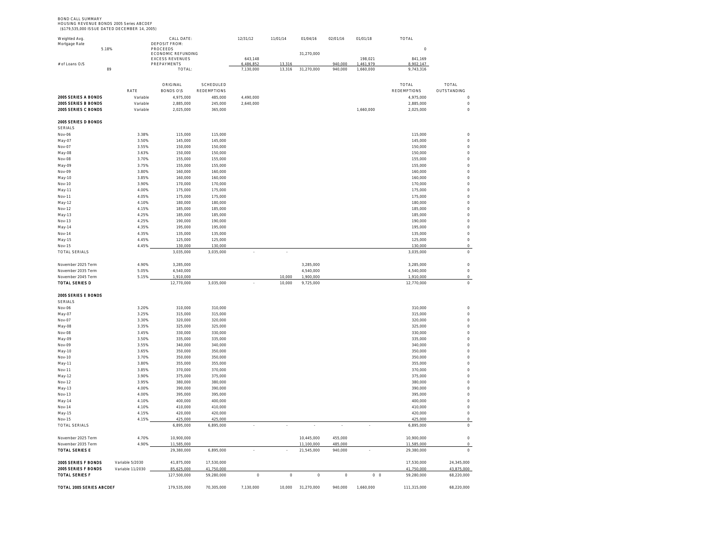BOND CALL SUMMARY HOUSING REVENUE BONDS 2005 Series ABCDEF (\$179,535,000 ISSUE DATED DECEMBER 14, 2005)

| Weighted Avg.<br>Mortgage Rate               |                      | CALL DATE<br><b>DEPOSIT FROM:</b>            |                          | 12/31/12                 | 11/01/14                 | 01/04/16   | 02/01/16 | 01/01/18       | TOTAL                    |                          |
|----------------------------------------------|----------------------|----------------------------------------------|--------------------------|--------------------------|--------------------------|------------|----------|----------------|--------------------------|--------------------------|
| 5.18%                                        |                      | PROCEEDS                                     |                          |                          |                          |            |          |                | $\circ$                  |                          |
|                                              |                      | ECONOMIC REFUNDING<br><b>EXCESS REVENUES</b> |                          | 643.148                  |                          | 31,270,000 |          | 198.021        | 841.169                  |                          |
| # of Loans O/S                               |                      | PREPAYMENTS                                  |                          | 486.853                  | 13 314                   |            | 940,000  | 461 979        | 3902147                  |                          |
| 89                                           |                      | TOTAL:                                       |                          | 7,130,000                | 13,316                   | 31,270,000 | 940,000  | 1,660,000      | 9,743,316                |                          |
|                                              |                      |                                              |                          |                          |                          |            |          |                |                          |                          |
|                                              |                      | ORIGINAL                                     | SCHEDULED                |                          |                          |            |          |                | TOTAL                    | <b>TOTAL</b>             |
|                                              | RATE                 | <b>BONDS O\S</b>                             | REDEMPTIONS              |                          |                          |            |          |                | <b>REDEMPTIONS</b>       | OUTSTANDING              |
| 2005 SERIES A BONDS                          | Variable             | 4,975,000                                    | 485,000                  | 4,490,000                |                          |            |          |                | 4,975,000                | $\circ$                  |
| 2005 SERIES B BONDS<br>2005 SERIES C BONDS   | Variable<br>Variable | 2,885,000<br>2,025,000                       | 245,000<br>365,000       | 2,640,000                |                          |            |          |                | 2,885,000                | $\circ$<br>$\circ$       |
|                                              |                      |                                              |                          |                          |                          |            |          | 1,660,000      | 2,025,000                |                          |
| 2005 SERIES D BONDS                          |                      |                                              |                          |                          |                          |            |          |                |                          |                          |
| SERIALS                                      |                      |                                              |                          |                          |                          |            |          |                |                          |                          |
| Nov-06                                       | 3.38%                | 115,000                                      | 115.000                  |                          |                          |            |          |                | 115.000                  | $\circ$                  |
| May-07                                       | 3.50%                | 145.000                                      | 145.000                  |                          |                          |            |          |                | 145,000                  | $\Omega$                 |
| Nov-07                                       | 3.55%                | 150.000                                      | 150,000                  |                          |                          |            |          |                | 150,000                  | $\Omega$<br>$\Omega$     |
| May-08<br>Nov-08                             | 3.63%<br>3.70%       | 150,000<br>155,000                           | 150,000<br>155,000       |                          |                          |            |          |                | 150,000<br>155,000       | $\Omega$                 |
| May-09                                       | 3.75%                | 155,000                                      | 155,000                  |                          |                          |            |          |                | 155,000                  | $\circ$                  |
| Nov-09                                       | 3.80%                | 160,000                                      | 160,000                  |                          |                          |            |          |                | 160,000                  | $\circ$                  |
| May-10                                       | 3.85%                | 160,000                                      | 160,000                  |                          |                          |            |          |                | 160,000                  | $\circ$                  |
| Nov-10                                       | 3.90%                | 170,000                                      | 170,000                  |                          |                          |            |          |                | 170,000                  | $\circ$                  |
| May-11                                       | 4.00%                | 175,000                                      | 175,000                  |                          |                          |            |          |                | 175,000                  | $\circ$                  |
| Nov-11                                       | 4.05%                | 175,000<br>180.000                           | 175,000                  |                          |                          |            |          |                | 175,000                  | $\Omega$<br>$\circ$      |
| May-12<br>Nov-12                             | 4.10%<br>4.15%       | 185,000                                      | 180,000<br>185,000       |                          |                          |            |          |                | 180,000<br>185,000       | $\circ$                  |
| May-13                                       | 4.25%                | 185,000                                      | 185,000                  |                          |                          |            |          |                | 185,000                  | $\circ$                  |
| Nov-13                                       | 4.25%                | 190,000                                      | 190,000                  |                          |                          |            |          |                | 190,000                  | $\circ$                  |
| May-14                                       | 4.35%                | 195,000                                      | 195,000                  |                          |                          |            |          |                | 195,000                  | $\circ$                  |
| Nov-14                                       | 4.35%                | 135,000                                      | 135,000                  |                          |                          |            |          |                | 135,000                  | $\circ$                  |
| May-15                                       | 4.45%                | 125,000                                      | 125,000                  |                          |                          |            |          |                | 125,000                  | $\hbox{O}$               |
| Nov-15<br><b>TOTAL SERIALS</b>               | 4.45%                | 130.000<br>3,035,000                         | 130.000<br>3,035,000     |                          | $\overline{\phantom{a}}$ |            |          |                | 130.000<br>3,035,000     | $\circ$<br>$\circ$       |
|                                              |                      |                                              |                          | $\overline{\phantom{a}}$ |                          |            |          |                |                          |                          |
| November 2025 Term                           | 4 90%                | 3.285.000                                    |                          |                          |                          | 3.285.000  |          |                | 3.285.000                | $\overline{0}$           |
| November 2035 Term                           | 5.05%                | 4.540.000                                    |                          |                          |                          | 4,540,000  |          |                | 4.540.000                | $\Omega$                 |
| November 2045 Term                           | 5.15%                | 1,910,000                                    |                          |                          | 10.000                   | 1,900,000  |          |                | 1,910,000                | $\circ$                  |
| TOTAL SERIES D                               |                      | 12,770,000                                   | 3,035,000                |                          | 10,000                   | 9,725,000  |          |                | 12,770,000               | $\,$ $\,$                |
| 2005 SERIES E BONDS                          |                      |                                              |                          |                          |                          |            |          |                |                          |                          |
| <b>SERIALS</b>                               |                      |                                              |                          |                          |                          |            |          |                |                          |                          |
| Nov-06                                       | 3.20%                | 310,000                                      | 310,000                  |                          |                          |            |          |                | 310,000                  | $\circ$                  |
| May-07                                       | 3.25%                | 315,000                                      | 315,000                  |                          |                          |            |          |                | 315,000                  | $\circ$                  |
| Nov-07                                       | 3.30%                | 320.000                                      | 320.000                  |                          |                          |            |          |                | 320,000                  | $\circ$                  |
| May-08                                       | 3.35%                | 325,000                                      | 325,000                  |                          |                          |            |          |                | 325,000                  | $\circ$                  |
| Nov-08                                       | 3.45%                | 330,000                                      | 330,000                  |                          |                          |            |          |                | 330,000                  | $\Omega$                 |
| May-09<br>Nov-09                             | 3.50%<br>3.55%       | 335,000<br>340,000                           | 335,000<br>340,000       |                          |                          |            |          |                | 335,000<br>340,000       | $\circ$<br>$\circ$       |
| May-10                                       | 3.65%                | 350,000                                      | 350,000                  |                          |                          |            |          |                | 350,000                  | $\circ$                  |
| Nov-10                                       | 3.70%                | 350,000                                      | 350,000                  |                          |                          |            |          |                | 350,000                  | $\circ$                  |
| May-11                                       | 3.80%                | 355,000                                      | 355,000                  |                          |                          |            |          |                | 355,000                  | $\circ$                  |
| Nov-11                                       | 3.85%                | 370,000                                      | 370,000                  |                          |                          |            |          |                | 370,000                  | $\circ$                  |
| May-12                                       | 3.90%                | 375,000                                      | 375,000                  |                          |                          |            |          |                | 375,000                  | $\Omega$                 |
| Nov-12                                       | 3.95%<br>4.00%       | 380,000                                      | 380.000<br>390.000       |                          |                          |            |          |                | 380.000                  | $\Omega$<br>$\Omega$     |
| May-13<br>Nov-13                             | 4.00%                | 390,000<br>395,000                           | 395,000                  |                          |                          |            |          |                | 390,000<br>395,000       | $\circ$                  |
| May-14                                       | 4.10%                | 400,000                                      | 400,000                  |                          |                          |            |          |                | 400,000                  | $\circ$                  |
| Nov-14                                       | 4.10%                | 410,000                                      | 410,000                  |                          |                          |            |          |                | 410,000                  | $\,0\,$                  |
| May-15                                       | 4.15%                | 420,000                                      | 420,000                  |                          |                          |            |          |                | 420.000                  | $\circ$                  |
| Nov-15                                       | 4.15%                | 425,000                                      | 425,000                  |                          |                          |            |          |                | 425,000                  | $\circ$                  |
| <b>TOTAL SERIALS</b>                         |                      | 6,895,000                                    | 6,895,000                | $\overline{\phantom{a}}$ | $\cdot$                  | $\cdot$    | $\cdot$  | ÷              | 6,895,000                | $\,$ $\,$                |
| November 2025 Term                           | 4.70%                | 10.900.000                                   |                          |                          |                          | 10.445.000 | 455,000  |                | 10.900.000               | $\circ$                  |
| November 2035 Term                           | 4.90%                | 11,585,000                                   |                          |                          |                          | 11,100,000 | 485,000  |                | 11,585,000               | $\Omega$                 |
| TOTAL SERIES E                               |                      | 29,380,000                                   | 6,895,000                |                          |                          | 21,545,000 | 940,000  |                | 29.380.000               | $\circ$                  |
|                                              |                      |                                              |                          |                          |                          |            |          |                |                          |                          |
| 2005 SERIES F BONDS                          | Variable 5/2030      | 41,875,000                                   | 17.530.000               |                          |                          |            |          |                | 17,530,000               | 24.345.000               |
| 2005 SERIES F BONDS<br><b>TOTAL SERIES F</b> | Variable 11/2030     | 85,625,000<br>127,500,000                    | 41,750,000<br>59,280,000 | $\mathbb O$              | $\circ$                  | $\circ$    | $\circ$  | 0 <sub>0</sub> | 41,750,000<br>59,280,000 | 43,875,000<br>68,220,000 |
|                                              |                      |                                              |                          |                          |                          |            |          |                |                          |                          |
| TOTAL 2005 SERIES ABCDEF                     |                      | 179,535,000                                  | 70,305,000               | 7,130,000                | 10,000                   | 31,270,000 | 940,000  | 1,660,000      | 111,315,000              | 68,220,000               |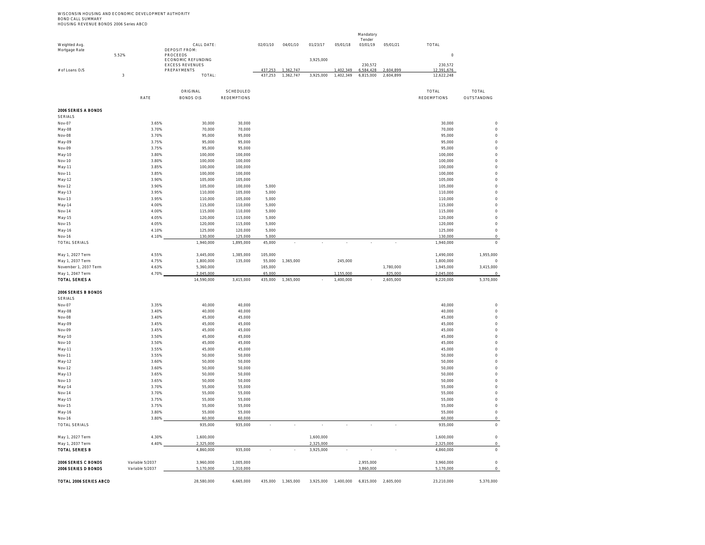WISCONSIN HOUSING AND ECONOMIC DEVELOPMENT AUTHORITY<br>BOND CALL SUMMARY<br>HOUSING REVENUE BONDS 2006 Series ABCD

|                                           |            |                 |                                       |                    |                          |           |           |                     | Mandatory<br>Tender |                |                        |                        |
|-------------------------------------------|------------|-----------------|---------------------------------------|--------------------|--------------------------|-----------|-----------|---------------------|---------------------|----------------|------------------------|------------------------|
| Weighted Avg.                             |            |                 | CALL DATE:                            |                    | 02/01/10                 | 04/01/10  | 01/23/17  | 05/01/18            | 03/01/19            | 05/01/21       | TOTAL                  |                        |
| Mortgage Rate                             | 552%       |                 | <b>DEPOSIT FROM:</b><br>PROCEEDS      |                    |                          |           |           |                     |                     |                | $\circ$                |                        |
|                                           |            |                 | ECONOMIC REFUNDING                    |                    |                          |           | 3,925,000 |                     |                     |                |                        |                        |
| # of Loans O/S                            |            |                 | <b>EXCESS REVENUES</b><br>PREPAYMENTS |                    | 137 253                  | 1 362 747 |           | 402349              | 230,572<br>584 428  | <b>604 899</b> | 230,572<br>2 391 676   |                        |
|                                           | $\sqrt{3}$ |                 | TOTAL:                                |                    | 437,253                  | 1,362,747 | 3,925,000 | 1,402,349           | 6,815,000           | 2,604,899      | 12,622,248             |                        |
|                                           |            |                 |                                       |                    |                          |           |           |                     |                     |                |                        |                        |
|                                           |            |                 | ORIGINAL                              | SCHEDULED          |                          |           |           |                     |                     |                | TOTAL                  | TOTAL                  |
|                                           |            | RATE            | <b>BONDS OIS</b>                      | <b>REDEMPTIONS</b> |                          |           |           |                     |                     |                | <b>REDEMPTIONS</b>     | OUTSTANDING            |
| 2006 SERIES A BONDS                       |            |                 |                                       |                    |                          |           |           |                     |                     |                |                        |                        |
| <b>SERIALS</b>                            |            |                 |                                       |                    |                          |           |           |                     |                     |                |                        |                        |
| Nov-07                                    |            | 3.65%           | 30,000                                | 30,000             |                          |           |           |                     |                     |                | 30,000                 | $\circ$                |
| May-08                                    |            | 3.70%           | 70,000                                | 70,000             |                          |           |           |                     |                     |                | 70,000                 | $\circ$                |
| Nov-08                                    |            | 3.70%           | 95,000                                | 95,000             |                          |           |           |                     |                     |                | 95,000                 | $\circ$                |
| May-09<br>Nov-09                          |            | 3.75%<br>3.75%  | 95,000<br>95,000                      | 95,000<br>95,000   |                          |           |           |                     |                     |                | 95,000<br>95,000       | $\circ$<br>$\circ$     |
| May-10                                    |            | 3 80%           | 100,000                               | 100,000            |                          |           |           |                     |                     |                | 100,000                | $\circ$                |
| Nov-10                                    |            | 3.80%           | 100.000                               | 100,000            |                          |           |           |                     |                     |                | 100,000                | $\circ$                |
| May-11                                    |            | 3.85%           | 100,000                               | 100,000            |                          |           |           |                     |                     |                | 100,000                | $\circ$                |
| Nov-11                                    |            | 3.85%           | 100,000                               | 100,000            |                          |           |           |                     |                     |                | 100,000                | $\circ$                |
| May-12                                    |            | 3.90%           | 105,000                               | 105,000            |                          |           |           |                     |                     |                | 105,000                | $\circ$                |
| Nov-12<br>May-13                          |            | 3.90%<br>3.95%  | 105,000<br>110,000                    | 100,000<br>105,000 | 5,000<br>5,000           |           |           |                     |                     |                | 105,000<br>110.000     | $\circ$<br>$\circ$     |
| Nov-13                                    |            | 3.95%           | 110,000                               | 105,000            | 5,000                    |           |           |                     |                     |                | 110,000                | $\circ$                |
| May-14                                    |            | 4.00%           | 115,000                               | 110,000            | 5,000                    |           |           |                     |                     |                | 115,000                | $\circ$                |
| $Nov-14$                                  |            | 4.00%           | 115,000                               | 110,000            | 5,000                    |           |           |                     |                     |                | 115,000                | $\circ$                |
| May-15                                    |            | 4.05%           | 120,000                               | 115,000            | 5,000                    |           |           |                     |                     |                | 120,000                | $\circ$                |
| Nov-15                                    |            | 4.05%           | 120,000                               | 115,000            | 5,000                    |           |           |                     |                     |                | 120,000                | $\circ$                |
| May-16<br>Nov-16                          |            | 4.10%<br>4.10%  | 125,000<br>130,000                    | 120,000<br>125,000 | 5,000<br>5.000           |           |           |                     |                     |                | 125,000<br>130,000     | $\circ$<br>$\circ$     |
| <b>TOTAL SERIALS</b>                      |            |                 | 1,940,000                             | 1,895,000          | 45,000                   |           |           |                     |                     |                | 1,940,000              | $\circ$                |
|                                           |            |                 |                                       |                    |                          |           |           |                     |                     |                |                        |                        |
| May 1, 2027 Term                          |            | 4 55%           | 3.445.000                             | 1.385.000          | 105,000<br>55,000        | 1.365.000 |           | 245,000             |                     |                | 1.490.000              | 1,955,000              |
| May 1, 2037 Term<br>November 1, 2037 Term |            | 4 75%<br>4.63%  | 1.800.000<br>5,360,000                | 135,000            | 165,000                  |           |           |                     |                     | 1,780,000      | 1.800.000<br>1,945,000 | $\Omega$<br>3,415,000  |
| May 1, 2047 Term                          |            | 4.70%           | 2,045,000                             |                    | 65,000                   |           |           | 1,155,000           |                     | 825,000        | 2,045,000              | $\Omega$               |
| <b>TOTAL SERIES A</b>                     |            |                 | 14,590,000                            | 3,415,000          | 435,000                  | 1,365,000 |           | 1,400,000           |                     | 2,605,000      | 9,220,000              | 5,370,000              |
|                                           |            |                 |                                       |                    |                          |           |           |                     |                     |                |                        |                        |
| 2006 SERIES B BONDS<br><b>SERIALS</b>     |            |                 |                                       |                    |                          |           |           |                     |                     |                |                        |                        |
| Nov-07                                    |            | 3.35%           | 40.000                                | 40,000             |                          |           |           |                     |                     |                | 40,000                 | $\circ$                |
| May-08                                    |            | 3.40%           | 40,000                                | 40,000             |                          |           |           |                     |                     |                | 40,000                 | $\circ$                |
| Nov-08                                    |            | 3.40%           | 45,000                                | 45,000             |                          |           |           |                     |                     |                | 45,000                 | $\circ$                |
| May-09                                    |            | 3.45%           | 45,000                                | 45,000             |                          |           |           |                     |                     |                | 45,000                 | $\circ$                |
| Nov-09                                    |            | 3.45%           | 45,000                                | 45,000             |                          |           |           |                     |                     |                | 45,000                 | $\circ$                |
| May-10<br>Nov-10                          |            | 3.50%<br>3.50%  | 45,000<br>45,000                      | 45,000<br>45,000   |                          |           |           |                     |                     |                | 45,000<br>45,000       | $\circ$<br>$\circ$     |
| May-11                                    |            | 3.55%           | 45,000                                | 45,000             |                          |           |           |                     |                     |                | 45,000                 | $\circ$                |
| Nov-11                                    |            | 3.55%           | 50,000                                | 50,000             |                          |           |           |                     |                     |                | 50,000                 | $\circ$                |
| May-12                                    |            | 3.60%           | 50,000                                | 50,000             |                          |           |           |                     |                     |                | 50,000                 | $\circ$                |
| Nov-12                                    |            | 3.60%           | 50,000                                | 50,000             |                          |           |           |                     |                     |                | 50,000                 | $\circ$                |
| May-13                                    |            | 3.65%           | 50,000<br>50.000                      | 50.000<br>50.000   |                          |           |           |                     |                     |                | 50.000                 | $\circ$<br>$\circ$     |
| Nov-13<br>May-14                          |            | 3.65%<br>3.70%  | 55,000                                | 55,000             |                          |           |           |                     |                     |                | 50,000<br>55,000       | $\circ$                |
| $Nov-14$                                  |            | 3.70%           | 55,000                                | 55,000             |                          |           |           |                     |                     |                | 55,000                 | $\circ$                |
| May-15                                    |            | 3.75%           | 55,000                                | 55,000             |                          |           |           |                     |                     |                | 55,000                 | $\circ$                |
| Nov-15                                    |            | 3.75%           | 55,000                                | 55,000             |                          |           |           |                     |                     |                | 55,000                 | $\circ$                |
| May-16                                    |            | 3.80%           | 55,000                                | 55,000             |                          |           |           |                     |                     |                | 55,000                 | $\circ$                |
| Nov-16<br>TOTAL SERIALS                   |            | 3.80%           | 60,000                                | 60,000             |                          |           |           |                     |                     |                | 60,000                 | $\circ$<br>$\mathbb O$ |
|                                           |            |                 | 935,000                               | 935,000            |                          |           |           |                     |                     |                | 935,000                |                        |
| May 1, 2027 Term                          |            | 4.30%           | 1,600,000                             |                    |                          |           | 1,600,000 |                     |                     |                | 1,600,000              | $\mathbb O$            |
| May 1, 2037 Term                          |            | 4.40%           | 2,325,000                             |                    |                          |           | 2,325,000 |                     |                     |                | 2,325,000              | $\Omega$               |
| <b>TOTAL SERIES B</b>                     |            |                 | 4,860,000                             | 935,000            | $\overline{\phantom{a}}$ |           | 3,925,000 | $\cdot$             | $\sim$              | $\cdot$        | 4.860.000              | $\circ$                |
| 2006 SERIES C BONDS                       |            | Variable 5/2037 | 3,960,000                             | 1,005,000          |                          |           |           |                     | 2,955,000           |                | 3.960.000              | $\circ$                |
| 2006 SERIES D BONDS                       |            | Variable 5/2037 | 5,170,000                             | 1,310,000          |                          |           |           |                     | 3,860,000           |                | 5,170,000              | $\circ$                |
|                                           |            |                 |                                       |                    |                          |           |           |                     |                     |                |                        |                        |
| TOTAL 2006 SERIES ABCD                    |            |                 | 28,580,000                            | 6,665,000          | 435,000                  | 1,365,000 |           | 3,925,000 1,400,000 | 6,815,000           | 2,605,000      | 23,210,000             | 5,370,000              |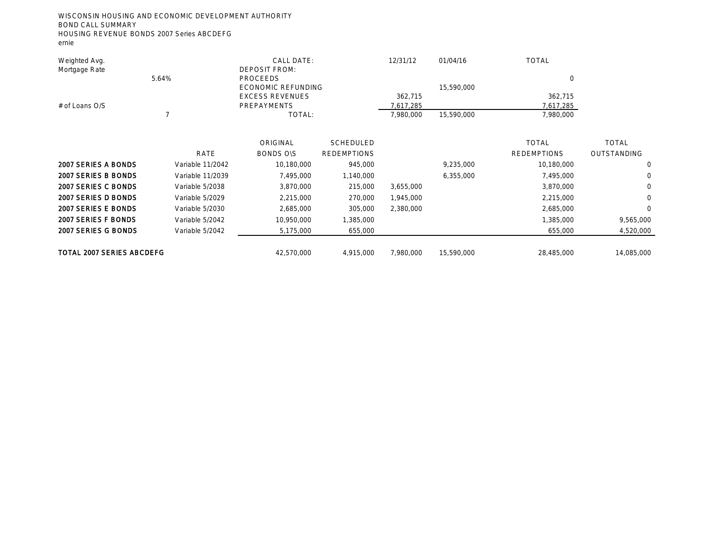WISCONSIN HOUSING AND ECONOMIC DEVELOPMENT AUTHORITY BOND CALL SUMMARY HOUSING REVENUE BONDS 2007 Series ABCDEFG

ernie

| Weighted Avg.                    |                  | CALL DATE:             |                    | 12/31/12  | 01/04/16   | <b>TOTAL</b>       |              |
|----------------------------------|------------------|------------------------|--------------------|-----------|------------|--------------------|--------------|
| Mortgage Rate                    |                  | <b>DEPOSIT FROM:</b>   |                    |           |            |                    |              |
|                                  | 5.64%            | PROCEEDS               |                    |           |            | $\circ$            |              |
|                                  |                  | ECONOMIC REFUNDING     |                    |           | 15,590,000 |                    |              |
|                                  |                  | <b>EXCESS REVENUES</b> |                    | 362,715   |            | 362,715            |              |
| # of Loans O/S                   |                  | PREPAYMENTS            |                    | 7,617,285 |            | 7,617,285          |              |
|                                  |                  | TOTAL:                 |                    | 7,980,000 | 15,590,000 | 7,980,000          |              |
|                                  |                  |                        |                    |           |            |                    |              |
|                                  |                  | ORIGINAL               | <b>SCHEDULED</b>   |           |            | <b>TOTAL</b>       | <b>TOTAL</b> |
|                                  | <b>RATE</b>      | <b>BONDS OIS</b>       | <b>REDEMPTIONS</b> |           |            | <b>REDEMPTIONS</b> | OUTSTANDING  |
| 2007 SERIES A BONDS              | Variable 11/2042 | 10,180,000             | 945,000            |           | 9,235,000  | 10,180,000         | $\Omega$     |
| 2007 SERIES B BONDS              | Variable 11/2039 | 7,495,000              | 1,140,000          |           | 6,355,000  | 7,495,000          | $\bigcirc$   |
| 2007 SERIES C BONDS              | Variable 5/2038  | 3,870,000              | 215,000            | 3,655,000 |            | 3,870,000          | $\Omega$     |
| 2007 SERIES D BONDS              | Variable 5/2029  | 2,215,000              | 270,000            | 1,945,000 |            | 2,215,000          | $\circ$      |
| 2007 SERIES E BONDS              | Variable 5/2030  | 2,685,000              | 305,000            | 2,380,000 |            | 2,685,000          | $\Omega$     |
| 2007 SERIES F BONDS              | Variable 5/2042  | 10,950,000             | 1,385,000          |           |            | 1,385,000          | 9,565,000    |
| 2007 SERIES G BONDS              | Variable 5/2042  | 5,175,000              | 655,000            |           |            | 655,000            | 4,520,000    |
|                                  |                  |                        |                    |           |            |                    |              |
| <b>TOTAL 2007 SERIES ABCDEFG</b> |                  | 42,570,000             | 4,915,000          | 7,980,000 | 15,590,000 | 28,485,000         | 14,085,000   |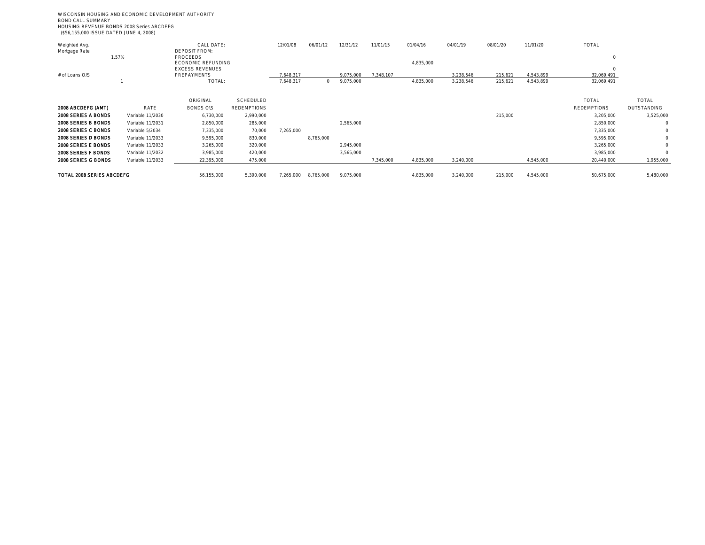WISCONSIN HOUSING AND ECONOMIC DEVELOPMENT AUTHORITY BOND CALL SUMMARY HOUSING REVENUE BONDS 2008 Series ABCDEFG (\$56,155,000 ISSUE DATED JUNE 4, 2008)

| Weighted Avg.              |                  | CALL DATE:             |                    | 12/01/08  | 06/01/12  | 12/31/12  | 11/01/15  | 01/04/16  | 04/01/19  | 08/01/20 | 11/01/20  | TOTAL              |             |
|----------------------------|------------------|------------------------|--------------------|-----------|-----------|-----------|-----------|-----------|-----------|----------|-----------|--------------------|-------------|
| Mortgage Rate              |                  | <b>DEPOSIT FROM:</b>   |                    |           |           |           |           |           |           |          |           |                    |             |
|                            | 1.57%            | <b>PROCEEDS</b>        |                    |           |           |           |           |           |           |          |           | $\circ$            |             |
|                            |                  | ECONOMIC REFUNDING     |                    |           |           |           |           | 4,835,000 |           |          |           |                    |             |
|                            |                  | <b>EXCESS REVENUES</b> |                    |           |           |           |           |           |           |          |           | $\circ$            |             |
| # of Loans O/S             |                  | PREPAYMENTS            |                    | .648.317  |           | 9.075.000 | 7.348.107 |           | 3.238.546 | 215.621  | 4.543.899 | 32,069,491         |             |
|                            |                  | TOTAL:                 |                    | 7,648,317 | $\circ$   | 9,075,000 |           | 4,835,000 | 3,238,546 | 215,621  | 4,543,899 | 32,069,491         |             |
|                            |                  |                        |                    |           |           |           |           |           |           |          |           |                    |             |
|                            |                  | ORIGINAL               | SCHEDULED          |           |           |           |           |           |           |          |           | TOTAL              | TOTAL       |
| 2008 ABCDEFG (AMT)         | RATE             | <b>BONDS OIS</b>       | <b>REDEMPTIONS</b> |           |           |           |           |           |           |          |           | <b>REDEMPTIONS</b> | OUTSTANDING |
| 2008 SERIES A BONDS        | Variable 11/2030 | 6,730,000              | 2,990,000          |           |           |           |           |           |           | 215,000  |           | 3,205,000          | 3,525,000   |
| 2008 SERIES B BONDS        | Variable 11/2031 | 2,850,000              | 285,000            |           |           | 2,565,000 |           |           |           |          |           | 2,850,000          |             |
| 2008 SERIES C BONDS        | Variable 5/2034  | 7,335,000              | 70,000             | 7,265,000 |           |           |           |           |           |          |           | 7,335,000          | $\Omega$    |
| 2008 SERIES D BONDS        | Variable 11/2033 | 9,595,000              | 830,000            |           | 8,765,000 |           |           |           |           |          |           | 9,595,000          | $\circ$     |
| <b>2008 SERIES E BONDS</b> | Variable 11/2033 | 3,265,000              | 320,000            |           |           | 2,945,000 |           |           |           |          |           | 3,265,000          | $\Omega$    |
| 2008 SERIES F BONDS        | Variable 11/2032 | 3,985,000              | 420,000            |           |           | 3,565,000 |           |           |           |          |           | 3,985,000          | $\Omega$    |
| 2008 SERIES G BONDS        | Variable 11/2033 | 22,395,000             | 475,000            |           |           |           | 7,345,000 | 4,835,000 | 3,240,000 |          | 4,545,000 | 20,440,000         | 1,955,000   |
|                            |                  |                        |                    |           |           |           |           |           |           |          |           |                    |             |
| TOTAL 2008 SERIES ABCDEFG  |                  | 56,155,000             | 5.390.000          | 7.265.000 | 8,765,000 | 9,075,000 |           | 4,835,000 | 3,240,000 | 215,000  | 4,545,000 | 50.675.000         | 5,480,000   |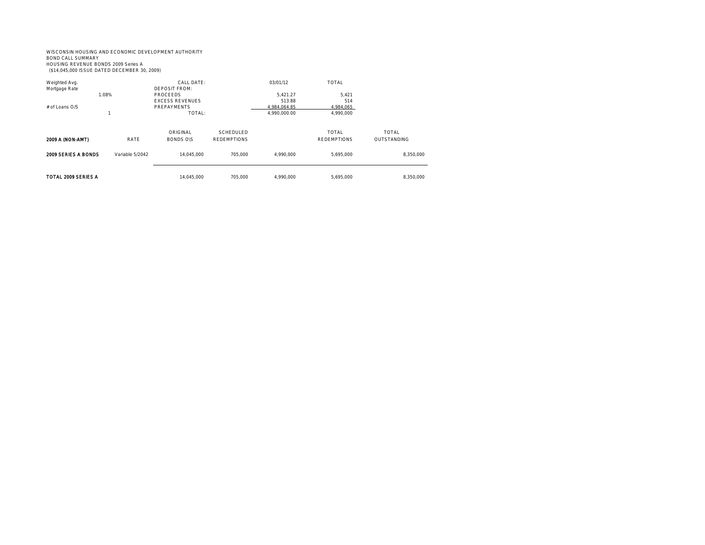#### WISCONSIN HOUSING AND ECONOMIC DEVELOPMENT AUTHORITY BOND CALL SUMMARY HOUSING REVENUE BONDS 2009 Series A (\$14,045,000 ISSUE DATED DECEMBER 30, 2009)

| Weighted Avg.<br>Mortgage Rate | 1.08%           | CALL DATE:<br><b>DEPOSIT FROM:</b><br>PROCEEDS  |                                 | 03/01/12<br>5.421.27                   | TOTAL<br>5.421                     |                                    |
|--------------------------------|-----------------|-------------------------------------------------|---------------------------------|----------------------------------------|------------------------------------|------------------------------------|
| # of Loans O/S                 |                 | <b>EXCESS REVENUES</b><br>PREPAYMENTS<br>TOTAL: |                                 | 513.88<br>4.984.064.85<br>4,990,000.00 | 514<br>4,984,065<br>4,990,000      |                                    |
| 2009 A (NON-AMT)               | RATE            | ORIGINAL<br><b>BONDS OIS</b>                    | SCHEDULED<br><b>REDEMPTIONS</b> |                                        | <b>TOTAL</b><br><b>REDEMPTIONS</b> | <b>TOTAL</b><br><b>OUTSTANDING</b> |
| 2009 SERIES A BONDS            | Variable 5/2042 | 14.045.000                                      | 705.000                         | 4.990.000                              | 5,695,000                          | 8,350,000                          |
| TOTAL 2009 SERIES A            |                 | 14.045.000                                      | 705.000                         | 4.990.000                              | 5.695.000                          | 8.350.000                          |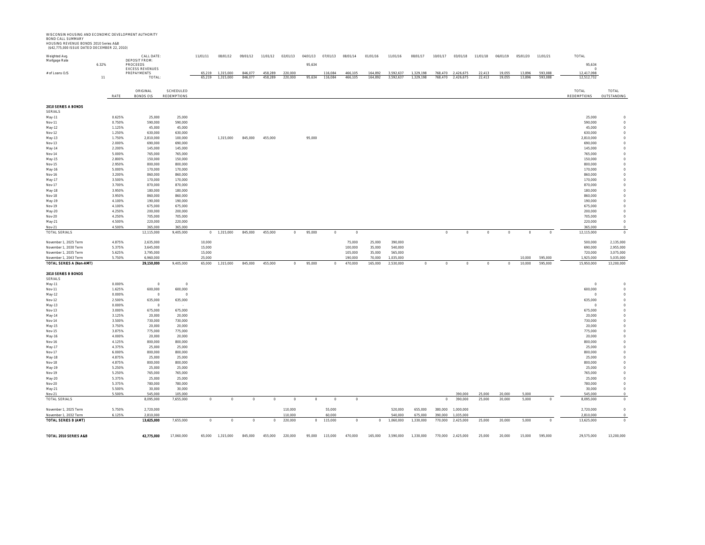WISCONSIN HOUSING AND ECONOMIC DEVELOPMENT AUTHORITY BOND CALL SUMMARY HOUSING REVENUE BONDS 2010 Series A&B (\$42,775,000 ISSUE DATED DECEMBER 22, 2010)

| Weighted Avg.<br>Mortgage Rate                    | 6.32%            | CALL DATE:<br><b>DEPOSIT FROM:</b><br>PROCEEDS<br><b>EXCESS REVENUES</b> |                                 | 11/01/11<br>5.210 | 08/01/12<br>1.315.000 | 09/01/12<br>846.077 | 11/01/12<br>458.289 | 02/01/13<br>220,000 | 04/01/13<br>95,634 | 07/01/13<br>116.084 | 08/01/14<br>466 105 | 01/01/16<br>164.892 | 11/01/16<br>3.592.637  | 08/01/17<br>1.329.198 | 10/01/17<br>768 470 | 03/01/18<br>2 426 67 | 11/01/18<br>22.413 | 06/01/19<br>10.055 | 05/01/20<br>13.896 | 11/01/21<br>593.088 | TOTAL<br>95,634<br>12.417.098 |                         |
|---------------------------------------------------|------------------|--------------------------------------------------------------------------|---------------------------------|-------------------|-----------------------|---------------------|---------------------|---------------------|--------------------|---------------------|---------------------|---------------------|------------------------|-----------------------|---------------------|----------------------|--------------------|--------------------|--------------------|---------------------|-------------------------------|-------------------------|
| # of Loans O/S                                    | 11               | PREPAYMENTS<br>TOTAL                                                     |                                 | 65,219            | 1,315,000             | 846,077             | 458,289             | 220,000             | 95,634             | 116,084             | 466,105             | 164,892             | 3,592,637              | 1,329,198             | 768,470             | 2,426,675            | 22,413             | 19,055             | 13,896             | 593,088             | 12,512,732                    |                         |
|                                                   | RATE             | ORIGINAL<br><b>BONDS O\S</b>                                             | SCHEDULED<br><b>REDEMPTIONS</b> |                   |                       |                     |                     |                     |                    |                     |                     |                     |                        |                       |                     |                      |                    |                    |                    |                     | TOTAL<br><b>REDEMPTIONS</b>   | TOTAL<br>OUTSTANDING    |
| 2010 SERIES A BONDS                               |                  |                                                                          |                                 |                   |                       |                     |                     |                     |                    |                     |                     |                     |                        |                       |                     |                      |                    |                    |                    |                     |                               |                         |
| <b>SERIALS</b><br>May-11                          | 0.625%           | 25,000                                                                   | 25,000                          |                   |                       |                     |                     |                     |                    |                     |                     |                     |                        |                       |                     |                      |                    |                    |                    |                     | 25,000                        |                         |
| Nov-11                                            | 0.750%           | 590,000                                                                  | 590,000                         |                   |                       |                     |                     |                     |                    |                     |                     |                     |                        |                       |                     |                      |                    |                    |                    |                     | 590,000                       |                         |
| May-12                                            | 1.125%           | 45,000                                                                   | 45,000                          |                   |                       |                     |                     |                     |                    |                     |                     |                     |                        |                       |                     |                      |                    |                    |                    |                     | 45,000                        |                         |
| Nov-12                                            | 1.250%<br>1.750% | 630,000<br>2,810,000                                                     | 630,000<br>100,000              |                   | 1,315,000             | 845,000             | 455,000             |                     | 95,000             |                     |                     |                     |                        |                       |                     |                      |                    |                    |                    |                     | 630,000<br>2.810.000          |                         |
| May-13<br>Nov-13                                  | 2.000%           | 690,000                                                                  | 690,000                         |                   |                       |                     |                     |                     |                    |                     |                     |                     |                        |                       |                     |                      |                    |                    |                    |                     | 690,000                       |                         |
| May-14                                            | 2.200%           | 145,000                                                                  | 145,000                         |                   |                       |                     |                     |                     |                    |                     |                     |                     |                        |                       |                     |                      |                    |                    |                    |                     | 145,000                       |                         |
| Nov-14                                            | 5.000%           | 765,000                                                                  | 765,000                         |                   |                       |                     |                     |                     |                    |                     |                     |                     |                        |                       |                     |                      |                    |                    |                    |                     | 765,000                       |                         |
| May-15<br>Nov-15                                  | 2.800%<br>2.950% | 150,000<br>800,000                                                       | 150,000<br>800,000              |                   |                       |                     |                     |                     |                    |                     |                     |                     |                        |                       |                     |                      |                    |                    |                    |                     | 150,000<br>800,000            |                         |
| May-16                                            | 5.000%           | 170,000                                                                  | 170,000                         |                   |                       |                     |                     |                     |                    |                     |                     |                     |                        |                       |                     |                      |                    |                    |                    |                     | 170,000                       |                         |
| Nov-16                                            | 3.200%           | 860,000                                                                  | 860,000                         |                   |                       |                     |                     |                     |                    |                     |                     |                     |                        |                       |                     |                      |                    |                    |                    |                     | 860,000                       |                         |
| May-17<br>Nov-17                                  | 3.500%<br>3.700% | 170,000<br>870,000                                                       | 170,000<br>870,000              |                   |                       |                     |                     |                     |                    |                     |                     |                     |                        |                       |                     |                      |                    |                    |                    |                     | 170,000<br>870,000            |                         |
| May-18                                            | 3.950%           | 180,000                                                                  | 180,000                         |                   |                       |                     |                     |                     |                    |                     |                     |                     |                        |                       |                     |                      |                    |                    |                    |                     | 180,000                       |                         |
| Nov-18                                            | 3950%            | 860,000                                                                  | 860,000                         |                   |                       |                     |                     |                     |                    |                     |                     |                     |                        |                       |                     |                      |                    |                    |                    |                     | 860,000                       |                         |
| May-19                                            | 4.100%           | 190,000                                                                  | 190,000                         |                   |                       |                     |                     |                     |                    |                     |                     |                     |                        |                       |                     |                      |                    |                    |                    |                     | 190,000                       |                         |
| Nov-19<br>May-20                                  | 4.100%<br>4.250% | 675,000<br>200,000                                                       | 675,000<br>200,000              |                   |                       |                     |                     |                     |                    |                     |                     |                     |                        |                       |                     |                      |                    |                    |                    |                     | 675,000<br>200,000            |                         |
| Nov-20                                            | 4.250%           | 705,000                                                                  | 705,000                         |                   |                       |                     |                     |                     |                    |                     |                     |                     |                        |                       |                     |                      |                    |                    |                    |                     | 705,000                       |                         |
| May-21                                            | 4.500%           | 220,000                                                                  | 220,000                         |                   |                       |                     |                     |                     |                    |                     |                     |                     |                        |                       |                     |                      |                    |                    |                    |                     | 220,000                       |                         |
| Nov-21<br>TOTAL SERIALS                           | 4.500%           | 365,000<br>12,115,000                                                    | 365,000<br>9,405,000            |                   | $0$ 1,315,000         | 845,000             | 455,000             | $\circ$             | 95,000             | $\circ$             | $\circ$             |                     |                        |                       | $\circ$             | $\Omega$             | $\Omega$           | $\Omega$           | $\Omega$           |                     | 365,000<br>12,115,000         |                         |
| November 1, 2025 Term                             | 4.875%           | 2,635,000                                                                |                                 | 10,000            |                       |                     |                     |                     |                    |                     | 75,000              | 25,000              | 390,000                |                       |                     |                      |                    |                    |                    |                     | 500,000                       | 2,135,000               |
| November 1, 2030 Term                             | 5.375%           | 3,645,000                                                                |                                 | 15,000            |                       |                     |                     |                     |                    |                     | 100,000             | 35,000              | 540,000                |                       |                     |                      |                    |                    |                    |                     | 690,000                       | 2,955,000               |
| November 1, 2035 Term                             | 5.625%           | 3,795,000                                                                |                                 | 15,000            |                       |                     |                     |                     |                    |                     | 105,000             | 35,000              | 565,000                |                       |                     |                      |                    |                    |                    |                     | 720,000                       | 3,075,000               |
| November 1, 2043 Term<br>TOTAL SERIES A (Non-AMT) | 5.750%           | 6,960,000<br>29,150,000                                                  | 9,405,000                       | 25,000<br>65,000  | 1,315,000             | 845,000             | 455,000             | $\Omega$            | 95,000             | $\Omega$            | 190,000<br>470,000  | 70,000<br>165,000   | 1,035,000<br>2,530,000 | $\Omega$              | $\Omega$            | $\Omega$             |                    | $\Omega$           | 10.000<br>10,000   | 595,000<br>595,000  | 1,925,000<br>15,950,000       | 5,035,000<br>13,200,000 |
|                                                   |                  |                                                                          |                                 |                   |                       |                     |                     |                     |                    |                     |                     |                     |                        |                       |                     |                      |                    |                    |                    |                     |                               |                         |
| 2010 SERIES B BONDS<br>SERIALS                    |                  |                                                                          |                                 |                   |                       |                     |                     |                     |                    |                     |                     |                     |                        |                       |                     |                      |                    |                    |                    |                     |                               |                         |
| May-11                                            | 0.000%           | $\overline{0}$                                                           | $\Omega$                        |                   |                       |                     |                     |                     |                    |                     |                     |                     |                        |                       |                     |                      |                    |                    |                    |                     |                               |                         |
| Nov-11                                            | 1.625%           | 600,000                                                                  | 600,000                         |                   |                       |                     |                     |                     |                    |                     |                     |                     |                        |                       |                     |                      |                    |                    |                    |                     | 600,000                       |                         |
| May-12<br>Nov-12                                  | 0.000%<br>2.500% | $\circ$<br>635,000                                                       | $\circ$<br>635,000              |                   |                       |                     |                     |                     |                    |                     |                     |                     |                        |                       |                     |                      |                    |                    |                    |                     | 635,000                       |                         |
| May-13                                            | 0.000%           | $\overline{0}$                                                           |                                 |                   |                       |                     |                     |                     |                    |                     |                     |                     |                        |                       |                     |                      |                    |                    |                    |                     | $\cap$                        |                         |
| Nov-13                                            | 3.000%           | 675,000                                                                  | 675,000                         |                   |                       |                     |                     |                     |                    |                     |                     |                     |                        |                       |                     |                      |                    |                    |                    |                     | 675.000                       |                         |
| May-14<br>Nov-14                                  | 3.125%<br>3.500% | 20,000<br>730.000                                                        | 20,000<br>730,000               |                   |                       |                     |                     |                     |                    |                     |                     |                     |                        |                       |                     |                      |                    |                    |                    |                     | 20,000<br>730,000             |                         |
| May-15                                            | 3.750%           | 20,000                                                                   | 20,000                          |                   |                       |                     |                     |                     |                    |                     |                     |                     |                        |                       |                     |                      |                    |                    |                    |                     | 20,000                        |                         |
| Nov-15                                            | 3.875%           | 775,000                                                                  | 775,000                         |                   |                       |                     |                     |                     |                    |                     |                     |                     |                        |                       |                     |                      |                    |                    |                    |                     | 775,000                       |                         |
| May-16                                            | 4.000%           | 20,000                                                                   | 20,000                          |                   |                       |                     |                     |                     |                    |                     |                     |                     |                        |                       |                     |                      |                    |                    |                    |                     | 20,000                        |                         |
| Nov-16<br>May-17                                  | 4.125%<br>4.375% | 800,000<br>25,000                                                        | 800,000<br>25,000               |                   |                       |                     |                     |                     |                    |                     |                     |                     |                        |                       |                     |                      |                    |                    |                    |                     | 800,000<br>25,000             |                         |
| Nov-17                                            | 6.000%           | 800,000                                                                  | 800,000                         |                   |                       |                     |                     |                     |                    |                     |                     |                     |                        |                       |                     |                      |                    |                    |                    |                     | 800,000                       |                         |
| May-18                                            | 4.875%           | 25,000                                                                   | 25,000                          |                   |                       |                     |                     |                     |                    |                     |                     |                     |                        |                       |                     |                      |                    |                    |                    |                     | 25,000                        |                         |
| Nov-18                                            | 4.875%<br>5.250% | 800.000<br>25,000                                                        | 800.000<br>25,000               |                   |                       |                     |                     |                     |                    |                     |                     |                     |                        |                       |                     |                      |                    |                    |                    |                     | 800.000<br>25,000             |                         |
| May-19<br>Nov-19                                  | 5.250%           | 765,000                                                                  | 765,000                         |                   |                       |                     |                     |                     |                    |                     |                     |                     |                        |                       |                     |                      |                    |                    |                    |                     | 765,000                       |                         |
| May-20                                            | 5.375%           | 25,000                                                                   | 25,000                          |                   |                       |                     |                     |                     |                    |                     |                     |                     |                        |                       |                     |                      |                    |                    |                    |                     | 25,000                        |                         |
| Nov-20                                            | 5.375%           | 780,000                                                                  | 780,000                         |                   |                       |                     |                     |                     |                    |                     |                     |                     |                        |                       |                     |                      |                    |                    |                    |                     | 780,000                       |                         |
| May-21                                            | 5.500%           | 30,000                                                                   | 30,000<br>105,000               |                   |                       |                     |                     |                     |                    |                     |                     |                     |                        |                       |                     |                      |                    |                    |                    |                     | 30,000                        |                         |
| Nov-21<br>TOTAL SERIALS                           | 5.500%           | 545,000<br>8,095,000                                                     | 7,655,000                       | $\circ$           | $\circ$               | $\circ$             | $\circ$             | $\circ$             | $\circ$            | $\circ$             | $\circ$             |                     |                        |                       | $\circ$             | 390,000<br>390,000   | 25,000<br>25,000   | 20,000<br>20,000   | 5.000<br>5,000     |                     | 545,000<br>8,095,000          |                         |
| November 1, 2025 Term                             | 5.750%           | 2,720,000                                                                |                                 |                   |                       |                     |                     | 110,000             |                    | 55,000              |                     |                     | 520,000                | 655,000               | 380,000             | 1,000,000            |                    |                    |                    |                     | 2,720,000                     | $\Omega$                |
| November 1, 2032 Term                             | 6.125%           | 2.810.000                                                                |                                 |                   |                       |                     |                     | 110.000             |                    | 60.000              |                     |                     | 540.000                | 675.000               | 390.000             | 1.035.000            |                    |                    |                    |                     | 2.810.000                     |                         |
| TOTAL SERIES B (AMT)                              |                  | 13,625,000                                                               | 7,655,000                       | $\Omega$          |                       |                     |                     | 220,000             | $\Omega$           | 115,000             | $\Omega$            |                     | 1,060,000              | 1,330,000             | 770.000             | 2,425,000            | 25,000             | 20,000             | 5,000              |                     | 13,625,000                    |                         |
| TOTAL 2010 SERIES A&B                             |                  | 42,775,000                                                               |                                 |                   |                       |                     |                     |                     |                    |                     |                     |                     |                        |                       |                     |                      |                    |                    |                    |                     |                               |                         |
|                                                   |                  |                                                                          | 17,060,000                      |                   | 65,000 1,315,000      | 845,000             | 455,000             | 220,000             | 95,000             | 115,000             | 470,000             | 165,000             | 3,590,000              | 1,330,000             |                     | 770,000 2,425,000    | 25,000             | 20,000             | 15,000             | 595,000             | 29,575,000                    | 13,200,000              |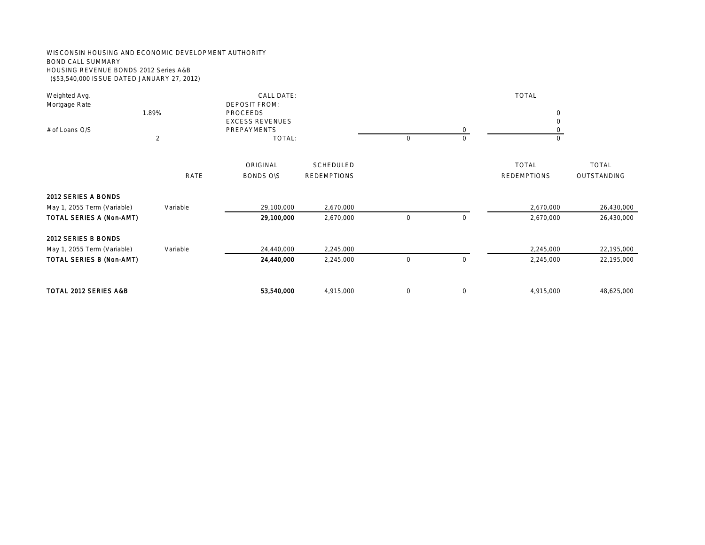#### WISCONSIN HOUSING AND ECONOMIC DEVELOPMENT AUTHORITY BOND CALL SUMMARY HOUSING REVENUE BONDS 2012 Series A&B (\$53,540,000 ISSUE DATED JANUARY 27, 2012)

| Weighted Avg.<br>Mortgage Rate                     | 1.89%          | CALL DATE:<br><b>DEPOSIT FROM:</b><br>PROCEEDS |                                 |         |            | <b>TOTAL</b><br>$\circ$            |                                    |
|----------------------------------------------------|----------------|------------------------------------------------|---------------------------------|---------|------------|------------------------------------|------------------------------------|
|                                                    |                | <b>EXCESS REVENUES</b>                         |                                 |         |            | $\Omega$                           |                                    |
| # of Loans O/S                                     | $\overline{2}$ | <b>PREPAYMENTS</b><br>TOTAL:                   |                                 | $\circ$ | $\bigcirc$ | $\cap$                             |                                    |
|                                                    | <b>RATE</b>    | ORIGINAL<br><b>BONDS OIS</b>                   | SCHEDULED<br><b>REDEMPTIONS</b> |         |            | <b>TOTAL</b><br><b>REDEMPTIONS</b> | <b>TOTAL</b><br><b>OUTSTANDING</b> |
| 2012 SERIES A BONDS<br>May 1, 2055 Term (Variable) | Variable       | 29,100,000                                     | 2,670,000                       |         |            | 2,670,000                          | 26,430,000                         |
| TOTAL SERIES A (Non-AMT)                           |                | 29,100,000                                     | 2,670,000                       | $\circ$ | $\circ$    | 2,670,000                          | 26,430,000                         |
| 2012 SERIES B BONDS<br>May 1, 2055 Term (Variable) | Variable       | 24,440,000                                     | 2,245,000                       |         |            | 2,245,000                          | 22,195,000                         |
| TOTAL SERIES B (Non-AMT)                           |                | 24,440,000                                     | 2,245,000                       | $\circ$ | $\circ$    | 2,245,000                          | 22,195,000                         |
| TOTAL 2012 SERIES A&B                              |                | 53,540,000                                     | 4,915,000                       | $\circ$ | $\circ$    | 4,915,000                          | 48,625,000                         |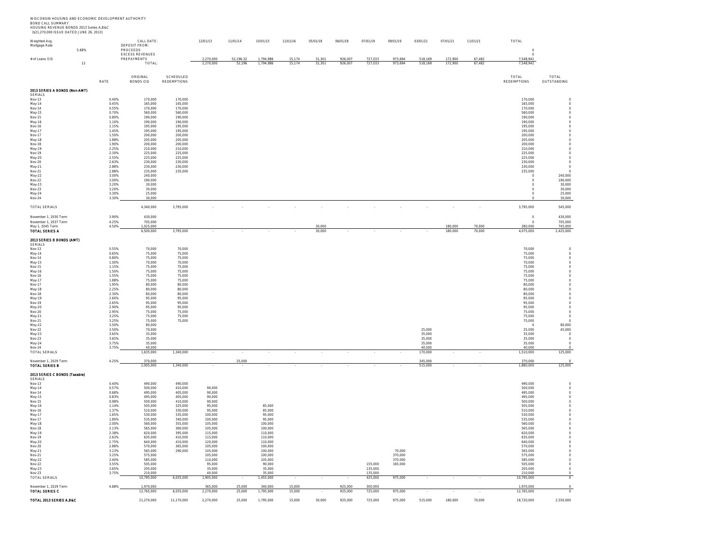WISCONSIN HOUSING AND ECONOMIC DEVELOPMENT AUTHORITY<br>BOND CALL SUMMARY<br>HOUSING REVENUE BONDS 2013 Series A,B&C<br>(\$21,270,000 ISSUE DATED JUNE 26, 2013)

| Weighted Avg.                             |       |                | CALL DATE:                            |                          | 12/01/13           | 11/01/14  | 10/01/15           | 11/01/16 | 05/01/18 | 06/01/18 | 07/01/19           | 09/01/19          | 03/01/21         | 07/01/21 | 11/01/21 | TOTAL                |                                               |
|-------------------------------------------|-------|----------------|---------------------------------------|--------------------------|--------------------|-----------|--------------------|----------|----------|----------|--------------------|-------------------|------------------|----------|----------|----------------------|-----------------------------------------------|
| Mortgage Rate                             | 5.68% |                | DEPOSIT FROM:<br>PROCEEDS             |                          |                    |           |                    |          |          |          |                    |                   |                  |          |          | $\,$ 0               |                                               |
| # of Loans O/S                            |       |                | <b>EXCESS REVENUES</b><br>PREPAYMENTS |                          | 2.270.000          | 52,196.32 | 1.794.986          | 15.174   | 31.301   | 926.007  | 727.033            | 973.694           | 518.169          | 172,900  | 67.482   | $\circ$<br>7,548,942 |                                               |
|                                           | 12    |                | TOTAL                                 |                          | 2,270,000          | 52,196    | 1,794,986          | 15,174   | 31,301   | 926,007  | 727,033            | 973,694           | 518,169          | 172,900  | 67,482   | 7,548,942            |                                               |
|                                           |       |                |                                       |                          |                    |           |                    |          |          |          |                    |                   |                  |          |          |                      |                                               |
|                                           |       | RATE           | ORIGINAL                              | SCHEDULED<br>REDEMPTIONS |                    |           |                    |          |          |          |                    |                   |                  |          |          | TOTAL<br>REDEMPTIONS | TOTAL<br>OUTSTANDING                          |
|                                           |       |                | BONDS O\S                             |                          |                    |           |                    |          |          |          |                    |                   |                  |          |          |                      |                                               |
| 2013 SERIES A BONDS (Non-AMT)<br>SERIALS  |       |                |                                       |                          |                    |           |                    |          |          |          |                    |                   |                  |          |          |                      |                                               |
| Nov-13                                    |       | 0.40%          | 170,000                               | 170,000                  |                    |           |                    |          |          |          |                    |                   |                  |          |          | 170,000              | $\circ$                                       |
| May-14<br>Nov-14                          |       | 0.45%<br>0.55% | 165,000<br>170,000                    | 165,000<br>170,000       |                    |           |                    |          |          |          |                    |                   |                  |          |          | 165,000<br>170,000   | $\,$ $\,$ $\,$<br>$\hfill 0$                  |
| May-15                                    |       | 0.70%          | 560,000                               | 560,000                  |                    |           |                    |          |          |          |                    |                   |                  |          |          | 560,000              | $\,$ $\,$ $\,$                                |
| Nov-15                                    |       | 0.80%          | 190.000                               | 190,000                  |                    |           |                    |          |          |          |                    |                   |                  |          |          | 190.000              | $\,$ $\,$ $\,$                                |
| May-16<br>Nov-16                          |       | 1.10%<br>1.15% | 190,000<br>195,000                    | 190,000<br>195,000       |                    |           |                    |          |          |          |                    |                   |                  |          |          | 190,000<br>195,000   | $\hfill 0$<br>$\,$ $\,$ $\,$                  |
| May-17                                    |       | 1.45%          | 195,000                               | 195,000                  |                    |           |                    |          |          |          |                    |                   |                  |          |          | 195.000              | $\,$ $\,$ $\,$                                |
| Nov-17<br>May-18                          |       | 1.50%<br>1.88% | 200,000<br>205.000                    | 200,000<br>205,000       |                    |           |                    |          |          |          |                    |                   |                  |          |          | 200,000<br>205.000   | $\hfill 0$<br>$\,$ $\,$ $\,$                  |
| Nov-18                                    |       | 1.90%          | 200,000                               | 200,000                  |                    |           |                    |          |          |          |                    |                   |                  |          |          | 200,000              | $\,$ $\,$ $\,$                                |
| May-19<br>Nov-19                          |       | 2.25%<br>2.30% | 210,000<br>225.000                    | 210,000<br>225.000       |                    |           |                    |          |          |          |                    |                   |                  |          |          | 210,000<br>225.000   | $\,$ $\,$ $\,$<br>$\,$ $\,$ $\,$              |
| May-20                                    |       | 2.55%          | 225,000                               | 225,000                  |                    |           |                    |          |          |          |                    |                   |                  |          |          | 225,000              | $\hfill 0$                                    |
| Nov-20                                    |       | 2.63%<br>2.88% | 230,000<br>230.000                    | 230,000<br>230,000       |                    |           |                    |          |          |          |                    |                   |                  |          |          | 230,000<br>230.000   | $\,$ $\,$ $\,$<br>$\overline{0}$              |
| May-21<br>Nov-21                          |       | 2.88%          | 235,000                               | 235,000                  |                    |           |                    |          |          |          |                    |                   |                  |          |          | 235,000              | $\hfill 0$                                    |
| May-22                                    |       | 3.00%          | 240,000                               |                          |                    |           |                    |          |          |          |                    |                   |                  |          |          | $\,$ 0               | 240,000                                       |
| Nov-22<br>May-23                          |       | 3.00%<br>3.20% | 190,000<br>30,000                     |                          |                    |           |                    |          |          |          |                    |                   |                  |          |          | $\circ$<br>$\circ$   | 190,000<br>30,000                             |
| Nov-23                                    |       | 3.20%          | 30,000                                |                          |                    |           |                    |          |          |          |                    |                   |                  |          |          | $\circ$              | 30,000                                        |
| May-24                                    |       | 3.30%          | 25,000<br>30,000                      |                          |                    |           |                    |          |          |          |                    |                   |                  |          |          | $\circ$              | 25,000<br>30,000                              |
| Nov-24                                    |       | 3.30%          |                                       |                          |                    |           |                    |          |          |          |                    |                   |                  |          |          |                      |                                               |
| <b>TOTAL SERIALS</b>                      |       |                | 4,340,000                             | 3,795,000                |                    |           | $\sim$             | $\sim$   | $\sim$   | $\sim$   | $\sim$             | $\sim$            | $\sim$           | $\sim$   | $\sim$   | 3,795,000            | 545,000                                       |
| November 1, 2030 Term                     |       | 3.90%          | 430,000                               |                          |                    |           |                    |          |          |          |                    |                   |                  |          |          | $\,$ 0               | 430,000                                       |
| November 1, 2037 Term<br>May 1, 2045 Term |       | 4.25%<br>4.50% | 705,000<br>1,025,000                  |                          |                    |           |                    |          | 30,000   |          |                    |                   |                  | 180,000  | 70.000   | $\circ$<br>280,000   | 705,000<br>745,000                            |
| <b>TOTAL SERIES A</b>                     |       |                | 6,500,000                             | 3,795,000                |                    |           |                    |          | 30.000   |          |                    |                   |                  | 180.000  | 70.000   | 4,075,000            | 2,425,000                                     |
|                                           |       |                |                                       |                          |                    |           |                    |          |          |          |                    |                   |                  |          |          |                      |                                               |
| 2013 SERIES B BONDS (AMT)<br>SERIALS      |       |                |                                       |                          |                    |           |                    |          |          |          |                    |                   |                  |          |          |                      |                                               |
| Nov-13                                    |       | 0.55%          | 70,000                                | 70,000                   |                    |           |                    |          |          |          |                    |                   |                  |          |          | 70,000               | $\,$ $\,$ $\,$                                |
| May-14<br>Nov-14                          |       | 0.65%<br>0.80% | 75,000<br>75,000                      | 75,000<br>75,000         |                    |           |                    |          |          |          |                    |                   |                  |          |          | 75,000<br>75,000     | $\,$ 0<br>$\hfill 0$                          |
| May-15                                    |       | 1.00%          | 70,000                                | 70,000                   |                    |           |                    |          |          |          |                    |                   |                  |          |          | 70,000               | $\,$ $\,$ $\,$                                |
| Nov-15                                    |       | 1.15%<br>1.50% | 75,000<br>75,000                      | 75,000<br>75,000         |                    |           |                    |          |          |          |                    |                   |                  |          |          | 75,000<br>75,000     | $\,$ $\,$ $\,$                                |
| May-16<br>Nov-16                          |       | 1.55%          | 75,000                                | 75.000                   |                    |           |                    |          |          |          |                    |                   |                  |          |          | 75.000               | $\hfill 0$                                    |
| May-17                                    |       | 1.88%          | 75.000                                | 75,000                   |                    |           |                    |          |          |          |                    |                   |                  |          |          | 75,000               | $\begin{smallmatrix}0\\0\\0\end{smallmatrix}$ |
| Nov-17<br>May-18                          |       | 1.95%<br>2.25% | 80,000<br>80,000                      | 80,000<br>80,000         |                    |           |                    |          |          |          |                    |                   |                  |          |          | 80,000<br>80.000     | $\hfill 0$<br>$\,$ $\,$ $\,$                  |
| Nov-18                                    |       | 2.30%          | 80,000                                | 80,000                   |                    |           |                    |          |          |          |                    |                   |                  |          |          | 80,000               | $\circ$                                       |
| May-19<br>Nov-19                          |       | 2.60%<br>2.65% | 95,000<br>95.000                      | 95,000<br>95.000         |                    |           |                    |          |          |          |                    |                   |                  |          |          | 95,000<br>95.000     | $\,$ $\,$ $\,$<br>$\,$ 0                      |
| May-20                                    |       | 2.90%          | 95,000                                | 95,000                   |                    |           |                    |          |          |          |                    |                   |                  |          |          | 95,000               | $\hfill 0$                                    |
| Nov-20<br>May-21                          |       | 2.95%<br>3.25% | 75,000<br>75,000                      | 75,000<br>75,000         |                    |           |                    |          |          |          |                    |                   |                  |          |          | 75,000<br>75,000     | $\,$ $\,$ $\,$<br>$\circ$                     |
| Nov-21                                    |       | 3.25%          | 75,000                                | 75,000                   |                    |           |                    |          |          |          |                    |                   |                  |          |          | 75,000               | $\hfill 0$                                    |
| May-22                                    |       | 3.50%          | 80,000                                |                          |                    |           |                    |          |          |          |                    |                   |                  |          |          | $\circ$              | 80,000                                        |
| Nov-22<br>May-23                          |       | 3.50%<br>3.65% | 70,000<br>35,000                      |                          |                    |           |                    |          |          |          |                    |                   | 25,000<br>35,000 |          |          | 25,000<br>35,000     | 45,000<br>$\hfill 0$                          |
| Nov-23                                    |       | 3.65%          | 35,000                                |                          |                    |           |                    |          |          |          |                    |                   | 35,000           |          |          | 35,000               | $\,$ 0                                        |
| May-24<br>Nov-24                          |       | 3.75%<br>3.75% | 35,000<br>40,000                      |                          |                    |           |                    |          |          |          |                    |                   | 35,000<br>40,000 |          |          | 35,000<br>40,000     | $\circ$                                       |
| <b>TOTAL SERIALS</b>                      |       |                | 1,635,000                             | 1,340,000                |                    |           |                    |          |          |          |                    |                   | 170,000          |          |          | 1,510,000            | 125,000                                       |
| November 1, 2029 Term                     |       | 4.25%          | 370,000                               |                          |                    | 25,000    |                    |          |          |          |                    |                   | 345,000          |          |          | 370,000              |                                               |
| <b>TOTAL SERIES B</b>                     |       |                | 2,005,000                             | 1,340,000                |                    |           |                    |          |          |          |                    |                   | 515,000          |          |          | 1,880,000            | 125,000                                       |
| 2013 SERIES C BONDS (Taxable)             |       |                |                                       |                          |                    |           |                    |          |          |          |                    |                   |                  |          |          |                      |                                               |
| <b>SERIALS</b><br>Nov-13                  |       | 0.40%          | 490,000                               | 490,000                  |                    |           |                    |          |          |          |                    |                   |                  |          |          | 490,000              | $\hfill 0$                                    |
| May-14                                    |       | 0.57%          | 500,000                               | 410,000                  | 90,000             |           |                    |          |          |          |                    |                   |                  |          |          | 500,000              | $\begin{smallmatrix}0\\0\\0\end{smallmatrix}$ |
| Nov-14<br>May-15                          |       | 0.68%<br>0.83% | 495,000<br>495,000                    | 405,000<br>405,000       | 90,000<br>90,000   |           |                    |          |          |          |                    |                   |                  |          |          | 495,000<br>495,000   | $\hfill 0$                                    |
| Nov-15                                    |       | 0.98%          | 500.000                               | 410.000                  | 90.000             |           |                    |          |          |          |                    |                   |                  |          |          | 500.000              | $\begin{smallmatrix}0\\0\\0\end{smallmatrix}$ |
| May-16<br>Nov-16                          |       | 1.14%<br>1.37% | 505,000<br>510,000                    | 325,000<br>330,000       | 95,000<br>95,000   |           | 85,000<br>85,000   |          |          |          |                    |                   |                  |          |          | 505,000<br>510,000   | $\,$ $\,$ $\,$                                |
| May-17                                    |       | 1.65%          | 530.000                               | 335.000                  | 100.000            |           | 95.000             |          |          |          |                    |                   |                  |          |          | 530.000              | $\,$ 0                                        |
| Nov-17<br>May-18                          |       | 1.80%<br>2.00% | 535,000<br>560,000                    | 340,000<br>355,000       | 100,000<br>105,000 |           | 95,000<br>100,000  |          |          |          |                    |                   |                  |          |          | 535,000<br>560,000   | $\hfill 0$<br>$\,$ $\,$ $\,$                  |
| Nov-18                                    |       | 2.13%          | 565.000                               | 360,000                  | 105.000            |           | 100,000            |          |          |          |                    |                   |                  |          |          | 565.000              | $\circ$                                       |
| May-19                                    |       | 2.38%          | 620,000                               | 395,000                  | 115,000            |           | 110,000            |          |          |          |                    |                   |                  |          |          | 620,000              | $\circ$                                       |
| Nov-19<br>May-20                          |       | 2.63%<br>2.75% | 635,000<br>640,000                    | 410.000<br>410,000       | 115,000<br>120,000 |           | 110.000<br>110,000 |          |          |          |                    |                   |                  |          |          | 635.000<br>640,000   | $\circ$                                       |
| Nov-20                                    |       | 2.88%          | 570,000                               | 365,000                  | 105,000            |           | 100,000            |          |          |          |                    |                   |                  |          |          | 570,000              | $\hfill 0$                                    |
| May-21<br>Nov-21                          |       | 3.13%<br>3.25% | 565,000<br>575,000                    | 290,000                  | 105,000<br>105,000 |           | 100,000<br>100,000 |          |          |          |                    | 70,000<br>370.000 |                  |          |          | 565,000<br>575,000   | $\,$ $\,$ $\,$<br>$\circ$                     |
| May-22                                    |       | 3.40%          | 585,000                               |                          | 110,000            |           | 105,000            |          |          |          |                    | 370,000           |                  |          |          | 585,000              | $\hfill 0$                                    |
| Nov-22                                    |       | 3.55%          | 505.000                               |                          | 95,000             |           | 90.000             |          |          |          | 155,000            | 165,000           |                  |          |          | 505.000              | $\,$ $\,$ $\,$                                |
| May-23<br>Nov-23                          |       | 3.65%<br>3.75% | 205,000<br>210,000                    |                          | 35,000<br>40,000   |           | 35,000<br>35,000   |          |          |          | 135,000<br>135,000 |                   |                  |          |          | 205,000<br>210,000   | $\hfill 0$<br>$\circ$                         |
| TOTAL SERIALS                             |       |                | 10,795,000                            | 6,035,000                | 1,905,000          |           | 1,455,000          |          |          |          | 425,000            | 975,000           |                  |          |          | 10,795,000           | $\overline{0}$                                |
| November 1, 2029 Term                     |       | 4.88%          | 1,970,000                             |                          | 365,000            | 25,000    | 340,000            | 15,000   |          | 925,000  | 300,000            |                   |                  |          |          | 1,970,000            | $\Omega$                                      |
| TOTAL SERIES C                            |       |                | 12,765,000                            | 6,035,000                | 2,270,000          | 25,000    | 1,795,000          | 15,000   |          | 925,000  | 725,000            | 975,000           |                  |          |          | 12,765,000           | $\overline{0}$                                |
| TOTAL 2013 SERIES A, B&C                  |       |                | 21,270,000                            | 11,170,000               | 2,270,000          | 25,000    | 1,795,000          | 15,000   | 30,000   | 925,000  | 725,000            | 975,000           | 515,000          | 180,000  | 70,000   | 18,720,000           | 2,550,000                                     |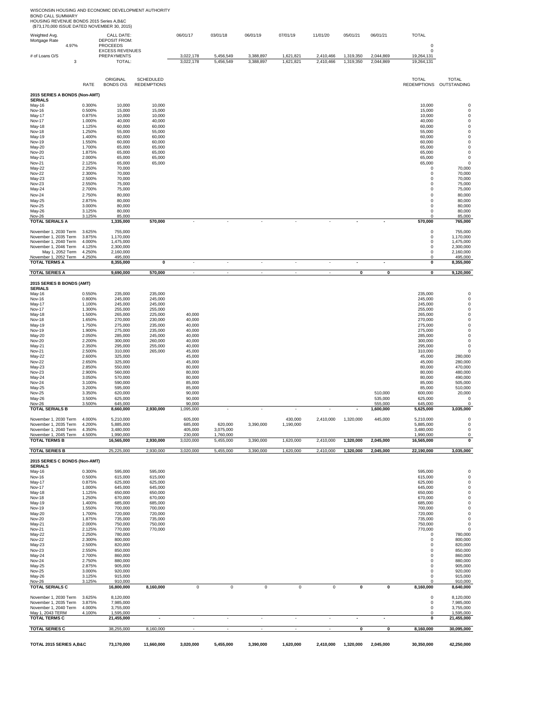|                                                | RATE             | ORIGINAL<br><b>BONDS O\S</b> | <b>SCHEDULED</b><br><b>REDEMPTIONS</b> |                          |                      |                |                          |             |                         |                    | <b>TOTAL</b>               | <b>TOTAL</b><br>REDEMPTIONS OUTSTANDING |
|------------------------------------------------|------------------|------------------------------|----------------------------------------|--------------------------|----------------------|----------------|--------------------------|-------------|-------------------------|--------------------|----------------------------|-----------------------------------------|
| 2015 SERIES A BONDS (Non-AMT)                  |                  |                              |                                        |                          |                      |                |                          |             |                         |                    |                            |                                         |
| <b>SERIALS</b>                                 |                  |                              |                                        |                          |                      |                |                          |             |                         |                    |                            |                                         |
| May-16                                         | 0.300%           | 10,000                       | 10,000                                 |                          |                      |                |                          |             |                         |                    | 10,000                     |                                         |
| <b>Nov-16</b><br>May-17                        | 0.500%<br>0.875% | 15,000<br>10,000             | 15,000<br>10,000                       |                          |                      |                |                          |             |                         |                    | 15,000<br>10,000           |                                         |
| Nov-17                                         | 1.000%           | 40,000                       | 40,000                                 |                          |                      |                |                          |             |                         |                    | 40,000                     |                                         |
| May-18<br>Nov-18                               | 1.125%<br>1.250% | 60,000<br>55,000             | 60,000<br>55,000                       |                          |                      |                |                          |             |                         |                    | 60,000<br>55,000           |                                         |
| May-19                                         | 1.400%           | 60,000                       | 60,000                                 |                          |                      |                |                          |             |                         |                    | 60,000                     |                                         |
| Nov-19<br>May-20                               | 1.550%<br>1.700% | 60,000<br>65,000             | 60,000<br>65,000                       |                          |                      |                |                          |             |                         |                    | 60,000<br>65,000           | 0<br>0                                  |
| <b>Nov-20</b>                                  | 1.875%           | 65,000                       | 65,000                                 |                          |                      |                |                          |             |                         |                    | 65,000                     | 0                                       |
| May-21<br>Nov-21                               | 2.000%<br>2.125% | 65,000<br>65,000             | 65,000<br>65,000                       |                          |                      |                |                          |             |                         |                    | 65,000<br>65,000           | $\mathbf 0$<br>$\mathbf 0$              |
| May-22                                         | 2.250%           | 70,000                       |                                        |                          |                      |                |                          |             |                         |                    | $\mathbf 0$                | 70,000                                  |
| <b>Nov-22</b><br>May-23                        | 2.300%<br>2.500% | 70,000<br>70,000             |                                        |                          |                      |                |                          |             |                         |                    | $^{\circ}$<br>$\mathbf 0$  | 70,000<br>70,000                        |
| Nov-23                                         | 2.550%           | 75,000                       |                                        |                          |                      |                |                          |             |                         |                    | $\mathbf 0$                | 75,000                                  |
| May-24                                         | 2.700%           | 75,000                       |                                        |                          |                      |                |                          |             |                         |                    | $^{\circ}$                 | 75,000                                  |
| <b>Nov-24</b><br>May-25                        | 2.750%<br>2.875% | 80,000<br>80,000             |                                        |                          |                      |                |                          |             |                         |                    | $\mathbf 0$<br>$\mathbf 0$ | 80,000<br>80,000                        |
| <b>Nov-25</b>                                  | 3.000%           | 80,000                       |                                        |                          |                      |                |                          |             |                         |                    | $\mathbf 0$                | 80,000                                  |
| May-26<br>Nov-26                               | 3.125%<br>3.125% | 80,000<br>85,000             |                                        |                          |                      |                |                          |             |                         |                    | $\mathbf 0$                | 80,000<br>85,000                        |
| <b>TOTAL SERIALS A</b>                         |                  | 1,335,000                    | 570,000                                |                          | ÷                    | ÷.             | $\overline{\phantom{a}}$ |             |                         | $\overline{a}$     | 570,000                    | 765,000                                 |
|                                                | 3.625%           | 755,000                      |                                        |                          |                      |                |                          |             |                         |                    | 0                          | 755,000                                 |
| November 1, 2030 Term<br>November 1, 2035 Term | 3.875%           | 1,170,000                    |                                        |                          |                      |                |                          |             |                         |                    | $\mathbf 0$                | 1,170,000                               |
| November 1, 2040 Term<br>November 1, 2046 Term | 4.000%<br>4.125% | 1,475,000<br>2,300,000       |                                        |                          |                      |                |                          |             |                         |                    | $\mathbf 0$<br>$\mathbf 0$ | 1,475,000<br>2,300,000                  |
| May 1, 2052 Term                               | 4.250%           | 2,160,000                    |                                        |                          |                      |                |                          |             |                         |                    | 0                          | 2,160,000                               |
| November 1, 2052 Term<br><b>TOTAL TERMS A</b>  | 4.250%           | 495,000<br>8,355,000         | 0                                      | $\overline{\phantom{a}}$ | ÷                    | ÷.             | $\sim$                   | ÷,          |                         | $\blacksquare$     | 0<br>0                     | 495,000<br>8,355,000                    |
|                                                |                  |                              |                                        |                          |                      |                |                          |             |                         |                    |                            |                                         |
| <b>TOTAL SERIES A</b>                          |                  | 9,690,000                    | 570,000                                | $\sim$                   | ÷,                   | ÷,             | ÷,                       |             | $\pmb{0}$               | 0                  | $\pmb{0}$                  | 9,120,000                               |
| 2015 SERIES B BONDS (AMT)                      |                  |                              |                                        |                          |                      |                |                          |             |                         |                    |                            |                                         |
| <b>SERIALS</b>                                 |                  |                              |                                        |                          |                      |                |                          |             |                         |                    |                            |                                         |
| May-16<br><b>Nov-16</b>                        | 0.550%<br>0.800% | 235,000<br>245,000           | 235,000<br>245,000                     |                          |                      |                |                          |             |                         |                    | 235,000<br>245,000         |                                         |
| May-17                                         | 1.100%           | 245,000                      | 245,000                                |                          |                      |                |                          |             |                         |                    | 245,000                    |                                         |
| <b>Nov-17</b><br>May-18                        | 1.300%<br>1.500% | 255,000<br>265,000           | 255,000<br>225,000                     | 40,000                   |                      |                |                          |             |                         |                    | 255,000<br>265,000         |                                         |
| Nov-18                                         | 1.650%           | 270,000                      | 230,000                                | 40,000                   |                      |                |                          |             |                         |                    | 270,000                    | 0                                       |
| May-19<br>Nov-19                               | 1.750%<br>1.900% | 275,000<br>275,000           | 235,000<br>235,000                     | 40,000<br>40,000         |                      |                |                          |             |                         |                    | 275,000<br>275,000         | 0<br>0                                  |
| May-20                                         | 2.050%           | 285,000                      | 245,000                                | 40,000                   |                      |                |                          |             |                         |                    | 285,000                    | $\mathbf 0$                             |
| <b>Nov-20</b><br>May-21                        | 2.200%<br>2.350% | 300,000<br>295,000           | 260,000<br>255,000                     | 40,000<br>40,000         |                      |                |                          |             |                         |                    | 300,000<br>295,000         | $\mathbf 0$<br>$\mathbf 0$              |
| Nov-21                                         | 2.500%           | 310,000                      | 265,000                                | 45,000                   |                      |                |                          |             |                         |                    | 310,000                    | 0                                       |
| May-22                                         | 2.600%           | 325,000                      |                                        | 45,000                   |                      |                |                          |             |                         |                    | 45,000                     | 280,000                                 |
| <b>Nov-22</b><br>May-23                        | 2.650%<br>2.850% | 325,000<br>550,000           |                                        | 45,000<br>80,000         |                      |                |                          |             |                         |                    | 45,000<br>80,000           | 280,000<br>470,000                      |
| <b>Nov-23</b>                                  | 2.900%           | 560,000                      |                                        | 80,000                   |                      |                |                          |             |                         |                    | 80,000                     | 480,000                                 |
| May-24<br>Nov-24                               | 3.050%<br>3.100% | 570,000<br>590,000           |                                        | 80,000<br>85,000         |                      |                |                          |             |                         |                    | 80,000<br>85,000           | 490,000<br>505,000                      |
| May-25                                         | 3.200%           | 595,000                      |                                        | 85,000                   |                      |                |                          |             |                         |                    | 85,000                     | 510,000                                 |
| Nov-25<br>May-26                               | 3.350%<br>3.500% | 620,000<br>625,000           |                                        | 90,000<br>90,000         |                      |                |                          |             |                         | 510,000<br>535,000 | 600,000<br>625,000         | 20,000<br>$^{\circ}$                    |
| <b>Nov-26</b>                                  | 3.500%           | 645,000                      |                                        | 90,000                   |                      |                |                          |             |                         | 555,000            | 645,000                    | $\Omega$                                |
| <b>TOTAL SERIALS B</b>                         |                  | 8,660,000                    | 2,930,000                              | 1,095,000                |                      |                |                          |             |                         | 1,600,000          | 5,625,000                  | 3,035,000                               |
| November 1, 2030 Term                          | 4.000%           | 5,210,000                    |                                        | 605,000                  |                      |                | 430,000                  | 2,410,000   | 1,320,000               | 445,000            | 5,210,000                  | $\mathbf 0$                             |
| November 1, 2035 Term<br>November 1, 2040 Term | 4.200%<br>4.350% | 5,885,000<br>3,480,000       |                                        | 685,000<br>405,000       | 620,000<br>3,075,000 | 3,390,000      | 1,190,000                |             |                         |                    | 5,885,000<br>3,480,000     | $\mathbf 0$<br>$\mathbf 0$              |
| November 1, 2045 Term                          | 4.500%           | 1,990,000                    |                                        | 230,000                  | 1,760,000            |                |                          |             |                         |                    | 1,990,000                  | $^{\circ}$                              |
| <b>TOTAL TERMS B</b>                           |                  | 16,565,000                   | 2,930,000                              | 3,020,000                | 5,455,000            | 3,390,000      | 1,620,000                | 2,410,000   | 1,320,000               | 2,045,000          | 16,565,000                 | 0                                       |
| <b>TOTAL SERIES B</b>                          |                  | 25,225,000                   | 2,930,000                              | 3,020,000                | 5,455,000            | 3,390,000      | 1,620,000                | 2,410,000   | 1,320,000               | 2,045,000          | 22,190,000                 | 3,035,000                               |
| 2015 SERIES C BONDS (Non-AMT)                  |                  |                              |                                        |                          |                      |                |                          |             |                         |                    |                            |                                         |
| <b>SERIALS</b>                                 |                  |                              |                                        |                          |                      |                |                          |             |                         |                    |                            |                                         |
| May-16<br>Nov-16                               | 0.300%<br>0.500% | 595,000<br>615,000           | 595,000<br>615,000                     |                          |                      |                |                          |             |                         |                    | 595,000<br>615,000         | 0<br>$\mathbf 0$                        |
| May-17                                         | 0.875%           | 625,000                      | 625,000                                |                          |                      |                |                          |             |                         |                    | 625,000                    | $\mathbf 0$                             |
| Nov-17<br>May-18                               | 1.000%<br>1.125% | 645,000<br>650,000           | 645,000<br>650,000                     |                          |                      |                |                          |             |                         |                    | 645,000<br>650,000         | $\mathbf 0$<br>$\mathbf 0$              |
| <b>Nov-18</b>                                  | 1.250%           | 670,000                      | 670,000                                |                          |                      |                |                          |             |                         |                    | 670,000                    | 0                                       |
| May-19<br>Nov-19                               | 1.400%<br>1.550% | 685,000<br>700,000           | 685,000<br>700,000                     |                          |                      |                |                          |             |                         |                    | 685,000<br>700,000         | $\mathbf 0$<br>$\mathbf 0$              |
| May-20                                         | 1.700%           | 720,000                      | 720,000                                |                          |                      |                |                          |             |                         |                    | 720,000                    | $\mathbf 0$                             |
| Nov-20                                         | 1.875%           | 735,000                      | 735,000                                |                          |                      |                |                          |             |                         |                    | 735,000                    | $\mathbf 0$                             |
| May-21<br>Nov-21                               | 2.000%<br>2.125% | 750,000<br>770,000           | 750,000<br>770,000                     |                          |                      |                |                          |             |                         |                    | 750,000<br>770,000         | $\mathbf 0$<br>$\mathbf 0$              |
| May-22                                         | 2.250%           | 780,000                      |                                        |                          |                      |                |                          |             |                         |                    | 0                          | 780,000                                 |
| <b>Nov-22</b><br>May-23                        | 2.300%<br>2.500% | 800,000<br>820,000           |                                        |                          |                      |                |                          |             |                         |                    | $\mathbf 0$<br>$\mathbf 0$ | 800,000<br>820,000                      |
| <b>Nov-23</b>                                  | 2.550%           | 850,000                      |                                        |                          |                      |                |                          |             |                         |                    | 0                          | 850,000                                 |
| May-24<br><b>Nov-24</b>                        | 2.700%<br>2.750% | 860,000<br>880,000           |                                        |                          |                      |                |                          |             |                         |                    | $\mathbf 0$<br>$\mathbf 0$ | 860,000<br>880,000                      |
| May-25                                         | 2.875%           | 905,000                      |                                        |                          |                      |                |                          |             |                         |                    | 0                          | 905,000                                 |
| <b>Nov-25</b>                                  | 3.000%           | 920,000                      |                                        |                          |                      |                |                          |             |                         |                    | $\mathbf 0$                | 920,000                                 |
| May-26<br><b>Nov-26</b>                        | 3.125%<br>3.125% | 915,000<br>910,000           |                                        |                          |                      |                |                          |             |                         |                    | 0<br>0                     | 915,000<br>910,000                      |
| <b>TOTAL SERIALS C</b>                         |                  | 16,800,000                   | 8,160,000                              | $\mathsf 0$              | $\mathsf 0$          | $\overline{0}$ | $\mathbf 0$              | $\mathsf 0$ | $\overline{\mathbf{0}}$ | 0                  | 8,160,000                  | 8,640,000                               |
| November 1, 2030 Term                          | 3.625%           | 8,120,000                    |                                        |                          |                      |                |                          |             |                         |                    | $\mathbf 0$                | 8,120,000                               |
| November 1, 2035 Term                          | 3.875%           | 7,985,000                    |                                        |                          |                      |                |                          |             |                         |                    | $\mathbf 0$                | 7,985,000                               |
| November 1, 2040 Term<br>May 1, 2043 TERM      | 4.000%<br>4.100% | 3,755,000<br>1,595,000       |                                        |                          |                      |                |                          |             |                         |                    | $\mathsf 0$<br>$\mathbf 0$ | 3,755,000<br>1,595,000                  |
| <b>TOTAL TERMS C</b>                           |                  | 21,455,000                   |                                        |                          |                      |                | ÷,                       |             |                         | ٠                  | 0                          | 21,455,000                              |
| <b>TOTAL SERIES C</b>                          |                  | 38,255,000                   | 8,160,000                              | $\sim$                   | ÷                    | $\sim$         | $\sim$                   | ×.          | 0                       | 0                  | 8,160,000                  | 30,095,000                              |
|                                                |                  |                              |                                        |                          |                      |                |                          |             |                         |                    |                            |                                         |
| TOTAL 2015 SERIES A, B&C                       |                  | 73,170,000                   | 11,660,000                             | 3,020,000                | 5,455,000            | 3,390,000      | 1,620,000                | 2,410,000   | 1,320,000               | 2,045,000          | 30,350,000                 | 42,250,000                              |

Weighted Avg, CALL DATE: 06/01/17 03/01/18 06/01/19 07/01/19 11/01/20 05/01/21 06/01/21 TOTAL<br>Mortgage Rate DEPOSIT FROM: DEPOSIT PROCEEDS<br>2.0 EXCESS REVENUES<br>4.97% PREPAYMENTS – 3,022,178 5,456,549 3,388,897 1,621,821 2,

WISCONSIN HOUSING AND ECONOMIC DEVELOPMENT AUTHORITY<br>BOND CALL SUMMARY<br>HOUSING REVENUE BONDS 2015 Series A,B&C<br>1 (\$73,170,000 ISSUE DATED NOVEMBER 30, 2015)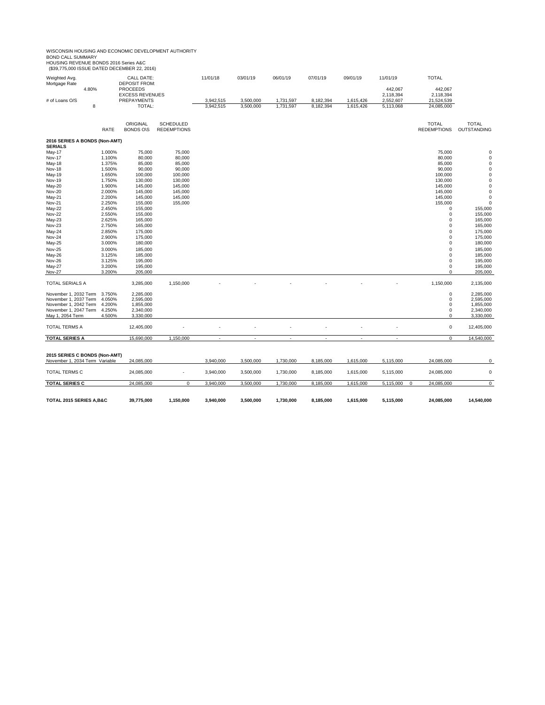# WISCONSIN HOUSING AND ECONOMIC DEVELOPMENT AUTHORITY<br>BOND CALL SUMMARY<br>HOUSING REVENUE BONDS 2016 Series A&C<br>1 (\$39,775,000 ISSUE DATED DECEMBER 22, 2016)

| Weighted Avg.<br>Mortgage Rate                  |       |                  | CALL DATE:<br><b>DEPOSIT FROM:</b> |                    | 11/01/18                 | 03/01/19  | 06/01/19                 | 07/01/19                 | 09/01/19                 | 11/01/19                 | <b>TOTAL</b>       |                        |
|-------------------------------------------------|-------|------------------|------------------------------------|--------------------|--------------------------|-----------|--------------------------|--------------------------|--------------------------|--------------------------|--------------------|------------------------|
|                                                 | 4.80% |                  | <b>PROCEEDS</b>                    |                    |                          |           |                          |                          |                          | 442,067                  | 442,067            |                        |
|                                                 |       |                  | <b>EXCESS REVENUES</b>             |                    |                          |           |                          |                          |                          | 2,118,394                | 2,118,394          |                        |
| # of Loans O/S                                  |       |                  | PREPAYMENTS                        |                    | 3,942,515                | 3,500,000 | 1,731,597                | 8,182,394                | 1,615,426                | 2,552,607                | 21,524,539         |                        |
|                                                 | 8     |                  | TOTAL:                             |                    | 3,942,515                | 3,500,000 | 1,731,597                | 8,182,394                | 1,615,426                | 5,113,068                | 24,085,000         |                        |
|                                                 |       |                  | ORIGINAL                           | <b>SCHEDULED</b>   |                          |           |                          |                          |                          |                          | <b>TOTAL</b>       | <b>TOTAL</b>           |
|                                                 |       | <b>RATE</b>      | <b>BONDS O\S</b>                   | <b>REDEMPTIONS</b> |                          |           |                          |                          |                          |                          | <b>REDEMPTIONS</b> | OUTSTANDING            |
| 2016 SERIES A BONDS (Non-AMT)<br><b>SERIALS</b> |       |                  |                                    |                    |                          |           |                          |                          |                          |                          |                    |                        |
| May-17                                          |       | 1.000%           | 75,000                             | 75,000             |                          |           |                          |                          |                          |                          | 75,000             | 0                      |
| Nov-17                                          |       | 1.100%           | 80,000                             | 80,000             |                          |           |                          |                          |                          |                          | 80,000             | $\pmb{0}$              |
| May-18                                          |       | 1.375%           | 85,000                             | 85,000             |                          |           |                          |                          |                          |                          | 85,000             | $\pmb{0}$              |
| Nov-18                                          |       | 1.500%           | 90,000                             | 90,000             |                          |           |                          |                          |                          |                          | 90,000             | $\pmb{0}$              |
| May-19                                          |       | 1.650%           | 100,000                            | 100,000            |                          |           |                          |                          |                          |                          | 100,000            | $\pmb{0}$              |
| <b>Nov-19</b>                                   |       | 1.750%           | 130,000                            | 130,000            |                          |           |                          |                          |                          |                          | 130,000            | $\pmb{0}$              |
| May-20                                          |       | 1.900%           | 145,000                            | 145,000            |                          |           |                          |                          |                          |                          | 145,000            | $\pmb{0}$              |
| Nov-20                                          |       | 2.000%           | 145,000                            | 145,000            |                          |           |                          |                          |                          |                          | 145,000            | $\pmb{0}$              |
| May-21                                          |       | 2.200%           | 145,000                            | 145,000            |                          |           |                          |                          |                          |                          | 145,000            | $\pmb{0}$              |
| <b>Nov-21</b>                                   |       | 2.250%           | 155,000                            | 155,000            |                          |           |                          |                          |                          |                          | 155,000            | $\pmb{0}$              |
| May-22                                          |       | 2.450%           | 155,000                            |                    |                          |           |                          |                          |                          |                          | $\mathbf 0$        | 155,000                |
| Nov-22<br>May-23                                |       | 2.550%<br>2.625% | 155,000<br>165,000                 |                    |                          |           |                          |                          |                          |                          | 0<br>0             | 155,000<br>165,000     |
| Nov-23                                          |       | 2.750%           | 165,000                            |                    |                          |           |                          |                          |                          |                          | 0                  | 165,000                |
| May-24                                          |       | 2.850%           | 175,000                            |                    |                          |           |                          |                          |                          |                          | 0                  | 175,000                |
| Nov-24                                          |       | 2.900%           | 175,000                            |                    |                          |           |                          |                          |                          |                          | 0                  | 175,000                |
| May-25                                          |       | 3.000%           | 180,000                            |                    |                          |           |                          |                          |                          |                          | $\mathbf 0$        | 180,000                |
| Nov-25                                          |       | 3.000%           | 185,000                            |                    |                          |           |                          |                          |                          |                          | $\Omega$           | 185,000                |
| May-26                                          |       | 3.125%           | 185,000                            |                    |                          |           |                          |                          |                          |                          | $\Omega$           | 185,000                |
| Nov-26                                          |       | 3.125%           | 195,000                            |                    |                          |           |                          |                          |                          |                          | 0                  | 195,000                |
| May-27                                          |       | 3.200%           | 195,000                            |                    |                          |           |                          |                          |                          |                          | 0                  | 195,000                |
| Nov-27                                          |       | 3.200%           | 205,000                            |                    |                          |           |                          |                          |                          |                          | 0                  | 205,000                |
| TOTAL SERIALS A                                 |       |                  | 3,285,000                          | 1,150,000          |                          |           |                          |                          |                          |                          | 1,150,000          | 2,135,000              |
|                                                 |       |                  |                                    |                    |                          |           |                          |                          |                          |                          |                    |                        |
| November 1, 2032 Term<br>November 1, 2037 Term  |       | 3.750%<br>4.050% | 2,285,000<br>2,595,000             |                    |                          |           |                          |                          |                          |                          | 0<br>0             | 2,285,000<br>2,595,000 |
| November 1, 2042 Term                           |       | 4.200%           | 1,855,000                          |                    |                          |           |                          |                          |                          |                          | 0                  | 1,855,000              |
| November 1, 2047 Term                           |       | 4.250%           | 2,340,000                          |                    |                          |           |                          |                          |                          |                          | 0                  | 2,340,000              |
| May 1, 2054 Term                                |       | 4.500%           | 3,330,000                          |                    |                          |           |                          |                          |                          |                          | 0                  | 3,330,000              |
| <b>TOTAL TERMS A</b>                            |       |                  | 12,405,000                         |                    |                          |           |                          |                          |                          |                          | $\pmb{0}$          | 12,405,000             |
| <b>TOTAL SERIES A</b>                           |       |                  | 15,690,000                         | 1,150,000          | $\overline{\phantom{a}}$ | ×.        | $\overline{\phantom{a}}$ | $\overline{\phantom{a}}$ | $\overline{\phantom{a}}$ | ×.                       | 0                  | 14,540,000             |
|                                                 |       |                  |                                    |                    |                          |           |                          |                          |                          |                          |                    |                        |
| 2015 SERIES C BONDS (Non-AMT)                   |       |                  |                                    |                    |                          |           |                          |                          |                          |                          |                    |                        |
| November 1, 2034 Term Variable                  |       |                  | 24,085,000                         |                    | 3,940,000                | 3,500,000 | 1,730,000                | 8,185,000                | 1,615,000                | 5,115,000                | 24,085,000         | 0                      |
| TOTAL TERMS C                                   |       |                  | 24,085,000                         |                    | 3,940,000                | 3,500,000 | 1,730,000                | 8,185,000                | 1,615,000                | 5,115,000                | 24,085,000         | $\pmb{0}$              |
| <b>TOTAL SERIES C</b>                           |       |                  | 24,085,000                         | $\mathbf 0$        | 3,940,000                | 3,500,000 | 1,730,000                | 8,185,000                | 1,615,000                | 5,115,000<br>$\mathbf 0$ | 24,085,000         | $\mathsf 0$            |
|                                                 |       |                  |                                    |                    |                          |           |                          |                          |                          |                          |                    |                        |
| TOTAL 2015 SERIES A, B&C                        |       |                  | 39,775,000                         | 1,150,000          | 3,940,000                | 3,500,000 | 1,730,000                | 8,185,000                | 1,615,000                | 5,115,000                | 24,085,000         | 14,540,000             |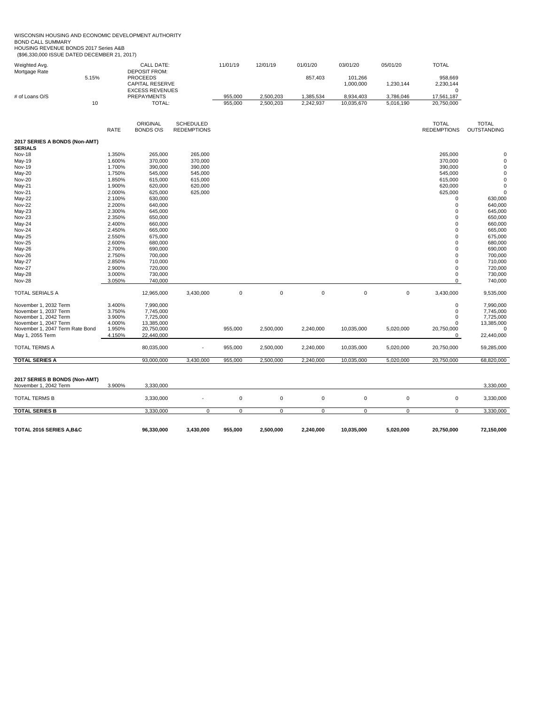WISCONSIN HOUSING AND ECONOMIC DEVELOPMENT AUTHORITY<br>BOND CALL SUMMARY<br>HOUSING REVENUE BONDS 2017 Series A&B<br>(\$96,330,000 ISSUE DATED DECEMBER 21, 2017)

| Weighted Avg.                                   |                  | <b>CALL DATE:</b>                                                 |                                        | 11/01/19           | 12/01/19               | 01/01/20               | 03/01/20                | 05/01/20               | <b>TOTAL</b>                       |                             |
|-------------------------------------------------|------------------|-------------------------------------------------------------------|----------------------------------------|--------------------|------------------------|------------------------|-------------------------|------------------------|------------------------------------|-----------------------------|
| Mortgage Rate<br>5.15%                          |                  | <b>DEPOSIT FROM:</b><br><b>PROCEEDS</b><br><b>CAPITAL RESERVE</b> |                                        |                    |                        | 857,403                | 101,266<br>1,000,000    | 1,230,144              | 958,669<br>2,230,144               |                             |
|                                                 |                  | <b>EXCESS REVENUES</b>                                            |                                        |                    |                        |                        |                         |                        | $\Omega$                           |                             |
| # of Loans O/S<br>10                            |                  | PREPAYMENTS<br>TOTAL:                                             |                                        | 955,000<br>955,000 | 2,500,203<br>2,500,203 | 1,385,534<br>2,242,937 | 8,934,403<br>10,035,670 | 3,786,046<br>5,016,190 | 17,561,187<br>20,750,000           |                             |
|                                                 |                  |                                                                   |                                        |                    |                        |                        |                         |                        |                                    |                             |
|                                                 | RATE             | ORIGINAL<br><b>BONDS O\S</b>                                      | <b>SCHEDULED</b><br><b>REDEMPTIONS</b> |                    |                        |                        |                         |                        | <b>TOTAL</b><br><b>REDEMPTIONS</b> | <b>TOTAL</b><br>OUTSTANDING |
| 2017 SERIES A BONDS (Non-AMT)<br><b>SERIALS</b> |                  |                                                                   |                                        |                    |                        |                        |                         |                        |                                    |                             |
| <b>Nov-18</b>                                   | 1.350%           | 265,000                                                           | 265,000                                |                    |                        |                        |                         |                        | 265,000                            | 0                           |
| May-19                                          | 1.600%           | 370,000                                                           | 370,000                                |                    |                        |                        |                         |                        | 370,000                            | $\mathbf 0$                 |
| <b>Nov-19</b>                                   | 1.700%           | 390,000                                                           | 390,000                                |                    |                        |                        |                         |                        | 390,000                            | 0                           |
| May-20                                          | 1.750%           | 545,000                                                           | 545,000                                |                    |                        |                        |                         |                        | 545,000                            | $\mathbf 0$                 |
| <b>Nov-20</b>                                   | 1.850%           | 615,000                                                           | 615,000                                |                    |                        |                        |                         |                        | 615,000                            | 0                           |
| May-21                                          | 1.900%           | 620,000                                                           | 620,000                                |                    |                        |                        |                         |                        | 620,000                            | $\mathbf 0$                 |
| <b>Nov-21</b>                                   | 2.000%           | 625,000                                                           | 625,000                                |                    |                        |                        |                         |                        | 625,000                            | $\mathbf 0$                 |
| May-22                                          | 2.100%           | 630,000                                                           |                                        |                    |                        |                        |                         |                        | 0                                  | 630,000                     |
| <b>Nov-22</b>                                   | 2.200%           | 640,000                                                           |                                        |                    |                        |                        |                         |                        | 0                                  | 640,000                     |
| May-23                                          | 2.300%           | 645,000                                                           |                                        |                    |                        |                        |                         |                        | 0                                  | 645,000                     |
| <b>Nov-23</b><br>May-24                         | 2.350%<br>2.400% | 650,000<br>660,000                                                |                                        |                    |                        |                        |                         |                        | 0<br>0                             | 650,000<br>660,000          |
| <b>Nov-24</b>                                   | 2.450%           | 665,000                                                           |                                        |                    |                        |                        |                         |                        | 0                                  | 665,000                     |
| May-25                                          | 2.550%           | 675,000                                                           |                                        |                    |                        |                        |                         |                        | 0                                  | 675,000                     |
| <b>Nov-25</b>                                   | 2.600%           | 680,000                                                           |                                        |                    |                        |                        |                         |                        | $\mathbf 0$                        | 680,000                     |
| May-26                                          | 2.700%           | 690,000                                                           |                                        |                    |                        |                        |                         |                        | $\mathbf 0$                        | 690,000                     |
| Nov-26                                          | 2.750%           | 700,000                                                           |                                        |                    |                        |                        |                         |                        | $\Omega$                           | 700,000                     |
| May-27                                          | 2.850%           | 710,000                                                           |                                        |                    |                        |                        |                         |                        | 0                                  | 710,000                     |
| <b>Nov-27</b>                                   | 2.900%           | 720,000                                                           |                                        |                    |                        |                        |                         |                        | 0                                  | 720,000                     |
| May-28                                          | 3.000%           | 730,000                                                           |                                        |                    |                        |                        |                         |                        | 0                                  | 730,000                     |
| <b>Nov-28</b>                                   | 3.050%           | 740,000                                                           |                                        |                    |                        |                        |                         |                        | $\mathbf 0$                        | 740,000                     |
| <b>TOTAL SERIALS A</b>                          |                  | 12,965,000                                                        | 3,430,000                              | $\mathbf 0$        | $\mathbf 0$            | $\mathbf 0$            | $\mathbf 0$             | $\mathbf 0$            | 3,430,000                          | 9,535,000                   |
| November 1, 2032 Term                           | 3.400%           | 7,990,000                                                         |                                        |                    |                        |                        |                         |                        | 0                                  | 7,990,000                   |
| November 1, 2037 Term                           | 3.750%           | 7,745,000                                                         |                                        |                    |                        |                        |                         |                        | $\mathbf 0$                        | 7,745,000                   |
| November 1, 2042 Term                           | 3.900%           | 7,725,000                                                         |                                        |                    |                        |                        |                         |                        | 0                                  | 7,725,000                   |
| November 1, 2047 Term                           | 4.000%           | 13,385,000                                                        |                                        |                    |                        |                        |                         |                        | $\Omega$                           | 13,385,000                  |
| November 1, 2047 Term Rate Bond                 | 1.950%           | 20,750,000                                                        |                                        | 955,000            | 2,500,000              | 2,240,000              | 10,035,000              | 5,020,000              | 20,750,000                         | $\mathbf 0$                 |
| May 1, 2055 Term                                | 4.150%           | 22,440,000                                                        |                                        |                    |                        |                        |                         |                        | 0                                  | 22,440,000                  |
| TOTAL TERMS A                                   |                  | 80,035,000                                                        |                                        | 955,000            | 2,500,000              | 2,240,000              | 10,035,000              | 5,020,000              | 20,750,000                         | 59,285,000                  |
| <b>TOTAL SERIES A</b>                           |                  | 93,000,000                                                        | 3,430,000                              | 955,000            | 2,500,000              | 2,240,000              | 10,035,000              | 5,020,000              | 20,750,000                         | 68,820,000                  |
|                                                 |                  |                                                                   |                                        |                    |                        |                        |                         |                        |                                    |                             |
| 2017 SERIES B BONDS (Non-AMT)                   |                  |                                                                   |                                        |                    |                        |                        |                         |                        |                                    |                             |
| November 1, 2042 Term                           | 3.900%           | 3,330,000                                                         |                                        |                    |                        |                        |                         |                        |                                    | 3,330,000                   |
| <b>TOTAL TERMS B</b>                            |                  | 3,330,000                                                         |                                        | $\mathsf 0$        | $\mathbf 0$            | $\pmb{0}$              | $\mathsf 0$             | 0                      | $\mathbf 0$                        | 3,330,000                   |
| <b>TOTAL SERIES B</b>                           |                  | 3,330,000                                                         | $\mathbf 0$                            | 0                  | $\mathbf 0$            | $\mathbf 0$            | $\mathbf 0$             | 0                      | $\Omega$                           | 3,330,000                   |
|                                                 |                  |                                                                   |                                        |                    |                        |                        |                         |                        |                                    |                             |
| TOTAL 2016 SERIES A, B&C                        |                  | 96,330,000                                                        | 3,430,000                              | 955,000            | 2,500,000              | 2,240,000              | 10,035,000              | 5,020,000              | 20,750,000                         | 72,150,000                  |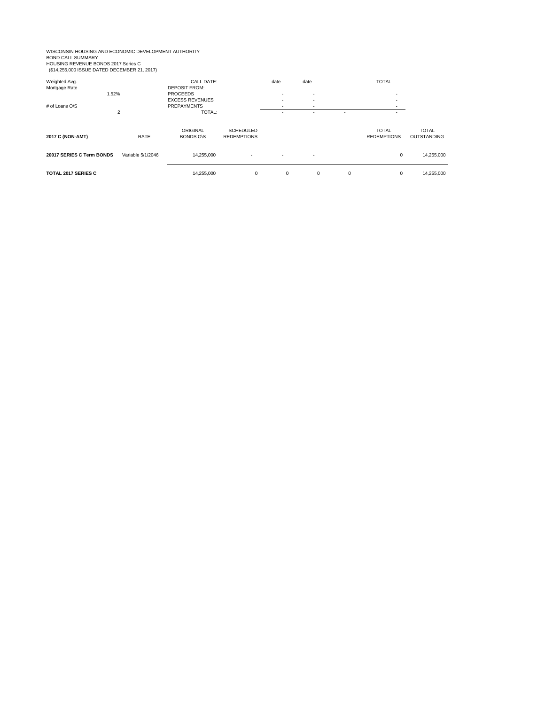WISCONSIN HOUSING AND ECONOMIC DEVELOPMENT AUTHORITY<br>BOND CALL SUMMARY<br>HOUSING REVENUE BONDS 2017 Series C<br>(\$14,255,000 ISSUE DATED DECEMBER 21, 2017)

| Weighted Avg.<br>Mortgage Rate<br>1.52%<br># of Loans O/S |                   | <b>CALL DATE:</b><br><b>DEPOSIT FROM:</b><br><b>PROCEEDS</b><br><b>EXCESS REVENUES</b><br><b>PREPAYMENTS</b> |                                        | date<br>۰. | date<br>$\overline{\phantom{a}}$<br>$\overline{\phantom{a}}$<br>$\overline{\phantom{a}}$ |             | <b>TOTAL</b><br>۰.<br>۰.                 |                                    |
|-----------------------------------------------------------|-------------------|--------------------------------------------------------------------------------------------------------------|----------------------------------------|------------|------------------------------------------------------------------------------------------|-------------|------------------------------------------|------------------------------------|
| $\overline{2}$<br>2017 C (NON-AMT)<br>RATE                |                   | TOTAL:<br>ORIGINAL<br><b>BONDS ONS</b>                                                                       | <b>SCHEDULED</b><br><b>REDEMPTIONS</b> |            |                                                                                          | ٠           | ۰.<br><b>TOTAL</b><br><b>REDEMPTIONS</b> | <b>TOTAL</b><br><b>OUTSTANDING</b> |
| 20017 SERIES C Term BONDS                                 | Variable 5/1/2046 | 14.255.000                                                                                                   | ж.                                     |            | $\sim$                                                                                   |             | $\mathbf 0$                              | 14,255,000                         |
| <b>TOTAL 2017 SERIES C</b>                                |                   | 14,255,000                                                                                                   | $\mathbf 0$                            | 0          | 0                                                                                        | $\mathbf 0$ | $\mathbf 0$                              | 14,255,000                         |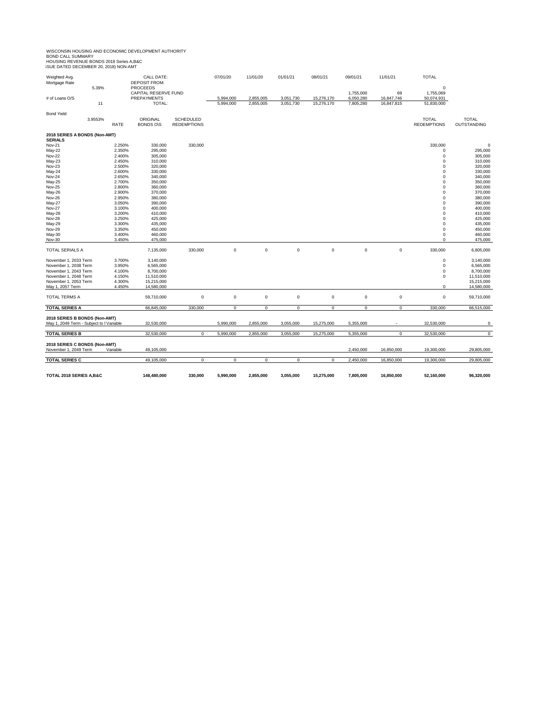WISCONSIN HOUSING AND ECONOMIC DEVELOPMENT AUTHORITY<br>BOND CALL SUMMARY<br>HOUSING REVENUE BONDS 2018 Series A,B&C<br>ISUE DATED DECEMBER 20, 2018) NON-AMT

| Weighted Avg.                            |                  | <b>CALL DATE:</b>                          |                    | 07/01/20    | 11/01/20    | 01/01/21    | 08/01/21   | 09/01/21               | 11/01/21         | <b>TOTAL</b>            |                    |
|------------------------------------------|------------------|--------------------------------------------|--------------------|-------------|-------------|-------------|------------|------------------------|------------------|-------------------------|--------------------|
| Mortgage Rate                            |                  | <b>DEPOSIT FROM:</b>                       |                    |             |             |             |            |                        |                  |                         |                    |
| 5.39%                                    |                  | <b>PROCEEDS</b>                            |                    |             |             |             |            |                        |                  | 0                       |                    |
| # of Loans O/S                           |                  | CAPITAL RESERVE FUND<br><b>PREPAYMENTS</b> |                    | 5,994,000   | 2,855,005   | 3,051,730   | 15,276,170 | 1,755,000<br>6,050,280 | 69<br>16,847,746 | 1,755,069<br>50,074,931 |                    |
|                                          | 11               | TOTAL:                                     |                    | 5,994,000   | 2,855,005   | 3,051,730   | 15,276,170 | 7,805,280              | 16,847,815       | 51,830,000              |                    |
|                                          |                  |                                            |                    |             |             |             |            |                        |                  |                         |                    |
| <b>Bond Yield</b>                        |                  |                                            |                    |             |             |             |            |                        |                  |                         |                    |
| 3.9553%                                  |                  | ORIGINAL                                   | <b>SCHEDULED</b>   |             |             |             |            |                        |                  | <b>TOTAL</b>            | <b>TOTAL</b>       |
|                                          | RATE             | <b>BONDS O\S</b>                           | <b>REDEMPTIONS</b> |             |             |             |            |                        |                  | <b>REDEMPTIONS</b>      | OUTSTANDING        |
| 2018 SERIES A BONDS (Non-AMT)            |                  |                                            |                    |             |             |             |            |                        |                  |                         |                    |
| <b>SERIALS</b>                           |                  |                                            |                    |             |             |             |            |                        |                  |                         |                    |
| Nov-21                                   | 2.250%           | 330,000                                    | 330,000            |             |             |             |            |                        |                  | 330,000                 | $\Omega$           |
| May-22                                   | 2.350%           | 295,000                                    |                    |             |             |             |            |                        |                  | 0                       | 295,000            |
| <b>Nov-22</b>                            | 2.400%           | 305,000                                    |                    |             |             |             |            |                        |                  | 0                       | 305,000            |
| May-23                                   | 2.450%           | 310,000                                    |                    |             |             |             |            |                        |                  | 0                       | 310,000            |
| Nov-23                                   | 2.500%           | 320,000                                    |                    |             |             |             |            |                        |                  | 0                       | 320,000            |
| May-24                                   | 2.600%           | 330,000                                    |                    |             |             |             |            |                        |                  | 0                       | 330,000            |
| <b>Nov-24</b>                            | 2.650%           | 340,000                                    |                    |             |             |             |            |                        |                  | 0                       | 340,000            |
| May-25                                   | 2.700%           | 350,000                                    |                    |             |             |             |            |                        |                  | 0                       | 350,000            |
| Nov-25                                   | 2.800%           | 360,000                                    |                    |             |             |             |            |                        |                  | 0                       | 360,000            |
| May-26                                   | 2.900%           | 370,000                                    |                    |             |             |             |            |                        |                  | 0                       | 370,000            |
| Nov-26                                   | 2.950%           | 380,000                                    |                    |             |             |             |            |                        |                  | $\Omega$                | 380,000            |
| May-27                                   | 3.050%           | 390,000                                    |                    |             |             |             |            |                        |                  | 0                       | 390,000            |
| <b>Nov-27</b>                            | 3.100%           | 400,000                                    |                    |             |             |             |            |                        |                  | 0                       | 400,000            |
| May-28                                   | 3.200%           | 410,000                                    |                    |             |             |             |            |                        |                  | 0                       | 410,000            |
| <b>Nov-28</b>                            | 3.250%           | 425,000                                    |                    |             |             |             |            |                        |                  | $\mathbf 0$             | 425,000            |
| May-29<br>Nov-29                         | 3.300%<br>3.350% | 435,000                                    |                    |             |             |             |            |                        |                  | $\mathbf 0$<br>0        | 435,000<br>450,000 |
| May-30                                   | 3.400%           | 450,000<br>460,000                         |                    |             |             |             |            |                        |                  | $\mathbf 0$             | 460,000            |
| Nov-30                                   | 3.450%           | 475,000                                    |                    |             |             |             |            |                        |                  | 0                       | 475,000            |
|                                          |                  |                                            |                    |             |             |             |            |                        |                  |                         |                    |
| TOTAL SERIALS A                          |                  | 7,135,000                                  | 330,000            | $\mathbf 0$ | $\pmb{0}$   | $\pmb{0}$   | 0          | 0                      | 0                | 330,000                 | 6,805,000          |
| November 1, 2033 Term                    | 3.700%           | 3,140,000                                  |                    |             |             |             |            |                        |                  | 0                       | 3,140,000          |
| November 1, 2038 Term                    | 3.950%           | 6,565,000                                  |                    |             |             |             |            |                        |                  | 0                       | 6,565,000          |
| November 1, 2043 Term                    | 4.100%           | 8,700,000                                  |                    |             |             |             |            |                        |                  | 0                       | 8,700,000          |
| November 1, 2048 Term                    | 4.150%           | 11,510,000                                 |                    |             |             |             |            |                        |                  | 0                       | 11,510,000         |
| November 1, 2053 Term                    | 4.300%           | 15,215,000                                 |                    |             |             |             |            |                        |                  |                         | 15,215,000         |
| May 1, 2057 Term                         | 4.450%           | 14,580,000                                 |                    |             |             |             |            |                        |                  | $\mathbf 0$             | 14,580,000         |
| TOTAL TERMS A                            |                  | 59,710,000                                 | 0                  | $\mathbf 0$ | $\mathsf 0$ | 0           | 0          | 0                      | 0                | 0                       | 59,710,000         |
| <b>TOTAL SERIES A</b>                    |                  | 66,845,000                                 | 330,000            | $\mathbf 0$ | $\mathbf 0$ | $\mathsf 0$ | 0          | $\mathbf 0$            | $\mathbf 0$      | 330,000                 | 66,515,000         |
| 2018 SERIES B BONDS (Non-AMT)            |                  |                                            |                    |             |             |             |            |                        |                  |                         |                    |
| May 1, 2049 Term - Subject to I Variable |                  | 32,530,000                                 |                    | 5,990,000   | 2,855,000   | 3,055,000   | 15,275,000 | 5,355,000              |                  | 32,530,000              | $\mathbf 0$        |
| <b>TOTAL SERIES B</b>                    |                  | 32,530,000                                 | $\mathbf 0$        | 5,990,000   | 2,855,000   | 3,055,000   | 15,275,000 | 5,355,000              | $\mathbf 0$      | 32,530,000              | 0                  |
|                                          |                  |                                            |                    |             |             |             |            |                        |                  |                         |                    |
| 2018 SERIES C BONDS (Non-AMT)            | Variable         |                                            |                    |             |             |             |            |                        |                  |                         |                    |
| November 1, 2049 Term                    |                  | 49,105,000                                 |                    |             |             |             |            | 2,450,000              | 16,850,000       | 19,300,000              | 29,805,000         |
| <b>TOTAL SERIES C</b>                    |                  | 49,105,000                                 | 0                  | 0           | $^{\circ}$  | 0           | 0          | 2,450,000              | 16,850,000       | 19,300,000              | 29,805,000         |
|                                          |                  |                                            |                    |             |             |             |            |                        |                  |                         |                    |
| TOTAL 2018 SERIES A, B&C                 |                  | 148.480.000                                | 330.000            | 5.990.000   | 2,855,000   | 3,055,000   | 15,275,000 | 7,805,000              | 16,850,000       | 52.160.000              | 96.320.000         |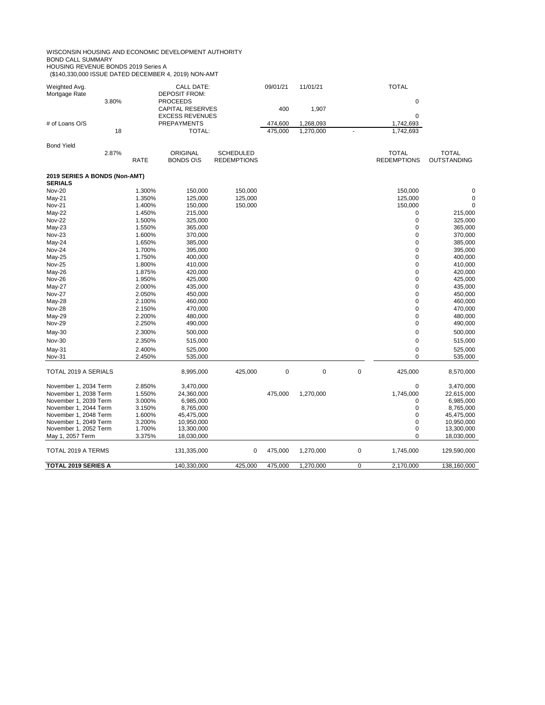WISCONSIN HOUSING AND ECONOMIC DEVELOPMENT AUTHORITY BOND CALL SUMMARY

HOUSING REVENUE BONDS 2019 Series A

(\$140,330,000 ISSUE DATED DECEMBER 4, 2019) NON-AMT

| Weighted Avg.<br>Mortgage Rate |       |        | CALL DATE:<br><b>DEPOSIT FROM:</b>         |                                        | 09/01/21  | 11/01/21  |             | <b>TOTAL</b>                       |                             |
|--------------------------------|-------|--------|--------------------------------------------|----------------------------------------|-----------|-----------|-------------|------------------------------------|-----------------------------|
|                                | 3.80% |        | <b>PROCEEDS</b><br><b>CAPITAL RESERVES</b> |                                        | 400       | 1,907     |             | 0                                  |                             |
|                                |       |        | <b>EXCESS REVENUES</b>                     |                                        |           |           |             | $\mathbf 0$                        |                             |
| # of Loans O/S                 |       |        | <b>PREPAYMENTS</b>                         |                                        | 474,600   | 1,268,093 |             | 1,742,693                          |                             |
|                                | 18    |        | TOTAL:                                     |                                        | 475,000   | 1,270,000 |             | 1,742,693                          |                             |
| <b>Bond Yield</b>              |       |        |                                            |                                        |           |           |             |                                    |                             |
|                                | 2.87% | RATE   | <b>ORIGINAL</b><br><b>BONDS O\S</b>        | <b>SCHEDULED</b><br><b>REDEMPTIONS</b> |           |           |             | <b>TOTAL</b><br><b>REDEMPTIONS</b> | <b>TOTAL</b><br>OUTSTANDING |
| 2019 SERIES A BONDS (Non-AMT)  |       |        |                                            |                                        |           |           |             |                                    |                             |
| <b>SERIALS</b>                 |       |        |                                            |                                        |           |           |             |                                    |                             |
| <b>Nov-20</b>                  |       | 1.300% | 150,000                                    | 150,000                                |           |           |             | 150,000                            | $\pmb{0}$                   |
| $May-21$                       |       | 1.350% | 125,000                                    | 125,000                                |           |           |             | 125,000                            | $\mathbf 0$                 |
| <b>Nov-21</b>                  |       | 1.400% | 150,000                                    | 150,000                                |           |           |             | 150,000                            | $\mathbf 0$                 |
| May-22                         |       | 1.450% | 215,000                                    |                                        |           |           |             | 0                                  | 215,000                     |
| <b>Nov-22</b>                  |       | 1.500% | 325,000                                    |                                        |           |           |             | $\mathbf 0$                        | 325,000                     |
| May-23                         |       | 1.550% | 365,000                                    |                                        |           |           |             | $\mathbf 0$                        | 365,000                     |
| Nov-23                         |       | 1.600% | 370,000                                    |                                        |           |           |             | $\mathbf 0$                        | 370,000                     |
| May-24                         |       | 1.650% | 385,000                                    |                                        |           |           |             | $\mathbf 0$                        | 385,000                     |
| <b>Nov-24</b>                  |       | 1.700% | 395,000                                    |                                        |           |           |             | $\mathbf 0$                        | 395,000                     |
| May-25                         |       | 1.750% | 400,000                                    |                                        |           |           |             | $\mathbf 0$                        | 400,000                     |
| <b>Nov-25</b>                  |       | 1.800% | 410,000                                    |                                        |           |           |             | $\mathbf 0$                        | 410,000                     |
| May-26                         |       | 1.875% | 420,000                                    |                                        |           |           |             | 0                                  | 420,000                     |
| <b>Nov-26</b>                  |       | 1.950% | 425,000                                    |                                        |           |           |             | $\mathbf 0$                        | 425,000                     |
| May-27                         |       | 2.000% | 435,000                                    |                                        |           |           |             | $\mathbf 0$                        | 435,000                     |
| <b>Nov-27</b>                  |       | 2.050% | 450,000                                    |                                        |           |           |             | $\mathbf 0$                        | 450,000                     |
| May-28                         |       | 2.100% | 460,000                                    |                                        |           |           |             | $\mathbf 0$                        | 460,000                     |
| <b>Nov-28</b>                  |       | 2.150% | 470,000                                    |                                        |           |           |             | $\mathbf 0$                        | 470,000                     |
| May-29                         |       | 2.200% | 480,000                                    |                                        |           |           |             | $\mathbf 0$                        | 480,000                     |
| <b>Nov-29</b>                  |       | 2.250% | 490,000                                    |                                        |           |           |             | $\mathbf 0$                        | 490,000                     |
| May-30                         |       | 2.300% | 500,000                                    |                                        |           |           |             | $\mathbf 0$                        | 500,000                     |
| Nov-30                         |       | 2.350% | 515,000                                    |                                        |           |           |             | 0                                  | 515,000                     |
| May-31                         |       | 2.400% | 525,000                                    |                                        |           |           |             | $\mathbf 0$                        | 525,000                     |
| Nov-31                         |       | 2.450% | 535,000                                    |                                        |           |           |             | 0                                  | 535,000                     |
| TOTAL 2019 A SERIALS           |       |        | 8,995,000                                  | 425,000                                | $\pmb{0}$ | $\pmb{0}$ | $\mathbf 0$ | 425,000                            | 8,570,000                   |
| November 1, 2034 Term          |       | 2.850% | 3,470,000                                  |                                        |           |           |             | $\mathbf 0$                        | 3,470,000                   |
| November 1, 2038 Term          |       | 1.550% | 24,360,000                                 |                                        | 475,000   | 1,270,000 |             | 1,745,000                          | 22,615,000                  |
| November 1, 2039 Term          |       | 3.000% | 6,985,000                                  |                                        |           |           |             | $\mathbf 0$                        | 6,985,000                   |
| November 1, 2044 Term          |       | 3.150% | 8,765,000                                  |                                        |           |           |             | $\mathbf 0$                        | 8,765,000                   |
| November 1, 2048 Term          |       | 1.600% | 45,475,000                                 |                                        |           |           |             | $\mathbf 0$                        | 45,475,000                  |
| November 1, 2049 Term          |       | 3.200% | 10,950,000                                 |                                        |           |           |             | $\mathbf 0$                        | 10,950,000                  |
| November 1, 2052 Term          |       | 1.700% | 13,300,000                                 |                                        |           |           |             | $\mathbf 0$                        | 13,300,000                  |
| May 1, 2057 Term               |       | 3.375% | 18,030,000                                 |                                        |           |           |             | 0                                  | 18,030,000                  |
| TOTAL 2019 A TERMS             |       |        | 131,335,000                                | 0                                      | 475,000   | 1,270,000 | $\pmb{0}$   | 1,745,000                          | 129,590,000                 |
| TOTAL 2019 SERIES A            |       |        | 140,330,000                                | 425,000                                | 475,000   | 1,270,000 | 0           | 2,170,000                          | 138,160,000                 |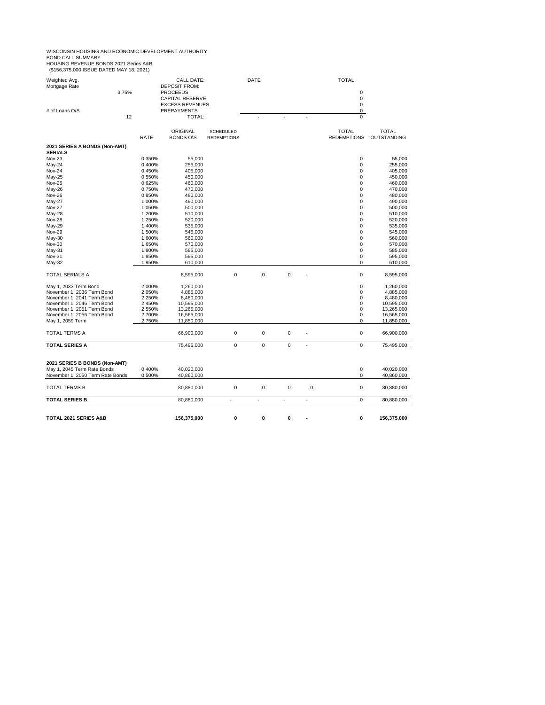WISCONSIN HOUSING AND ECONOMIC DEVELOPMENT AUTHORITY<br>BOND CALL SUMMARY<br>HOUSING REVENUE BONDS 2021 Series A&B

| <b>TOTAL 2021 SERIES A&amp;B</b>                                                                 |       |                  | 156,375,000                                                     | 0                                      | 0      | 0                |    |   | 0                                       | 156,375,000                 |
|--------------------------------------------------------------------------------------------------|-------|------------------|-----------------------------------------------------------------|----------------------------------------|--------|------------------|----|---|-----------------------------------------|-----------------------------|
| <b>TOTAL SERIES B</b>                                                                            |       |                  | 80,880,000                                                      | ÷.                                     |        | à.               | ä, |   | $\overline{0}$                          | 80,880,000                  |
| TOTAL TERMS B                                                                                    |       |                  | 80,880,000                                                      | 0                                      | 0      | 0                |    | 0 | 0                                       | 80,880,000                  |
| 2021 SERIES B BONDS (Non-AMT)<br>May 1, 2045 Term Rate Bonds<br>November 1, 2050 Term Rate Bonds |       | 0.400%<br>0.500% | 40,020,000<br>40,860,000                                        |                                        |        |                  |    |   | 0<br>0                                  | 40,020,000<br>40,860,000    |
| TOTAL SERIES A                                                                                   |       |                  | 75,495,000                                                      |                                        |        |                  | ÷. |   |                                         | 75,495,000                  |
| TOTAL TERMS A                                                                                    |       |                  | 66,900,000                                                      | 0<br>0                                 | 0<br>0 | 0<br>$\mathbf 0$ |    |   | 0<br>$\mathbf 0$                        | 66,900,000                  |
| May 1, 2059 Term                                                                                 |       | 2.750%           | 11,850,000                                                      |                                        |        |                  |    |   | 0                                       | 11,850,000                  |
| November 1, 2056 Term Bond                                                                       |       | 2.700%           | 16,565,000                                                      |                                        |        |                  |    |   | 0                                       | 16,565,000                  |
| November 1, 2051 Term Bond                                                                       |       | 2.550%           | 13,265,000                                                      |                                        |        |                  |    |   | 0                                       | 13,265,000                  |
| November 1, 2046 Term Bond                                                                       |       | 2.450%           | 10,595,000                                                      |                                        |        |                  |    |   | 0                                       | 10,595,000                  |
| November 1, 2041 Term Bond                                                                       |       | 2.250%           | 8,480,000                                                       |                                        |        |                  |    |   | 0                                       | 8,480,000                   |
| November 1, 2036 Term Bond                                                                       |       | 2.050%           | 4,885,000                                                       |                                        |        |                  |    |   | 0                                       | 4,885,000                   |
| May 1, 2033 Term Bond                                                                            |       | 2.000%           | 1,260,000                                                       |                                        |        |                  |    |   | 0                                       | 1,260,000                   |
| TOTAL SERIALS A                                                                                  |       |                  | 8,595,000                                                       | 0                                      | 0      | 0                |    |   | 0                                       | 8,595,000                   |
| May-32                                                                                           |       | 1.950%           | 610,000                                                         |                                        |        |                  |    |   | 0                                       | 610,000                     |
| May-31<br>Nov-31                                                                                 |       | 1.800%<br>1.850% | 595,000                                                         |                                        |        |                  |    |   | 0                                       | 585,000<br>595,000          |
| Nov-30                                                                                           |       | 1.650%           | 570,000<br>585,000                                              |                                        |        |                  |    |   | 0<br>0                                  | 570,000                     |
| May-30                                                                                           |       | 1.600%           | 560,000                                                         |                                        |        |                  |    |   | 0                                       | 560,000                     |
| Nov-29                                                                                           |       | 1.500%           | 545,000                                                         |                                        |        |                  |    |   | 0                                       | 545,000                     |
| May-29                                                                                           |       | 1.400%           | 535,000                                                         |                                        |        |                  |    |   | 0                                       | 535,000                     |
| <b>Nov-28</b>                                                                                    |       | 1.250%           | 520,000                                                         |                                        |        |                  |    |   | 0                                       | 520,000                     |
| May-28                                                                                           |       | 1.200%           | 510,000                                                         |                                        |        |                  |    |   | 0                                       | 510,000                     |
| Nov-27                                                                                           |       | 1.050%           | 500,000                                                         |                                        |        |                  |    |   | 0                                       | 500,000                     |
| May-27                                                                                           |       | 1.000%           | 490,000                                                         |                                        |        |                  |    |   | 0                                       | 490,000                     |
| <b>Nov-26</b>                                                                                    |       | 0.850%           | 480,000                                                         |                                        |        |                  |    |   | 0                                       | 480,000                     |
| May-26                                                                                           |       | 0.750%           | 470,000                                                         |                                        |        |                  |    |   | 0                                       | 470,000                     |
| Nov-25                                                                                           |       | 0.625%           | 460,000                                                         |                                        |        |                  |    |   | 0                                       | 460,000                     |
| May-25                                                                                           |       | 0.550%           | 450,000                                                         |                                        |        |                  |    |   | 0                                       | 450,000                     |
| Nov-24                                                                                           |       | 0.450%           | 405,000                                                         |                                        |        |                  |    |   | 0                                       | 405,000                     |
| May-24                                                                                           |       | 0.400%           | 255,000                                                         |                                        |        |                  |    |   | 0                                       | 255,000                     |
| <b>Nov-23</b>                                                                                    |       | 0.350%           | 55,000                                                          |                                        |        |                  |    |   | 0                                       | 55,000                      |
| 2021 SERIES A BONDS (Non-AMT)<br><b>SERIALS</b>                                                  |       |                  |                                                                 |                                        |        |                  |    |   |                                         |                             |
|                                                                                                  |       | <b>RATE</b>      | ORIGINAL<br><b>BONDS O\S</b>                                    | <b>SCHEDULED</b><br><b>REDEMPTIONS</b> |        |                  |    |   | <b>TOTAL</b><br><b>REDEMPTIONS</b>      | <b>TOTAL</b><br>OUTSTANDING |
|                                                                                                  | 12    |                  | TOTAL:                                                          |                                        |        |                  |    |   |                                         |                             |
| # of Loans O/S                                                                                   |       |                  | <b>CAPITAL RESERVE</b><br><b>EXCESS REVENUES</b><br>PREPAYMENTS |                                        |        |                  |    |   | 0<br>$\mathbf 0$<br>0<br>$\overline{0}$ |                             |
|                                                                                                  | 3.75% |                  | <b>PROCEEDS</b>                                                 |                                        |        |                  |    |   | 0                                       |                             |
| Mortgage Rate                                                                                    |       |                  | <b>DEPOSIT FROM:</b>                                            |                                        |        |                  |    |   |                                         |                             |
| Weighted Avg.                                                                                    |       |                  | <b>CALL DATE:</b>                                               |                                        | DATE   |                  |    |   | <b>TOTAL</b>                            |                             |